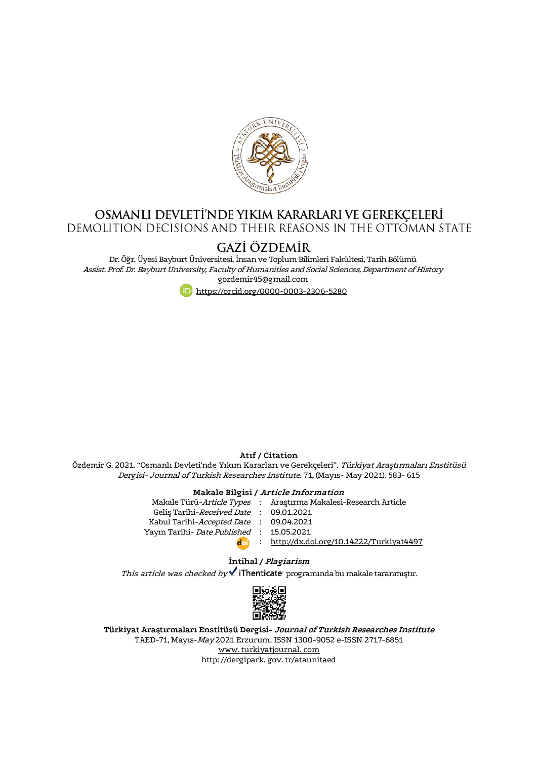

# **OSMANLI DEVLETI'NDE YIKIM KARARLARI VE GEREKÇELERİ**<br>DEMOLITION DECISIONS AND THEIR REASONS IN THE OTTOMAN STATE

# GAZİ ÖZDEMİR

Dr. Öğr. Üyesi Bayburt Üniversitesi, İnsan ve Toplum Bilimleri Fakültesi, Tarih Bölümü Assist. Prof. Dr. Bayburt University, Faculty of Humanities and Social Sciences, Department of History [gozdemir45@gmail.com](mailto:gozdemir45@gmail.com)

<https://orcid.org/0000-0003-2306-5280>

#### **Atıf / Citation**

Özdemir G. 2021. "Osmanlı Devleti'nde Yıkım Kararları ve Gerekçeleri". Türkiyat Araştırmaları Enstitüsü Dergisi- Journal of Turkish Researches Institute. 71, (Mayıs- May 2021). 583- 615

#### **Makale Bilgisi / Article Information**

|                                          | Makale Türü-Article Types : Arastırma Makalesi-Research Article |
|------------------------------------------|-----------------------------------------------------------------|
| Gelis Tarihi-Received Date: 09.01.2021   |                                                                 |
| Kabul Tarihi-Accepted Date : 09.04.2021  |                                                                 |
| Yayın Tarihi- Date Published: 15.05.2021 |                                                                 |
|                                          | : http://dx.doi.org/10.14222/Turkiyat4497                       |

#### **İntihal / Plagiarism**

This article was checked by **f** iThenticate programında bu makale taranmıştır.



**Türkiyat Araştırmaları Enstitüsü Dergisi- Journal of Turkish Researches Institute** TAED-71, Mayıs-May 2021 Erzurum. ISSN 1300-9052 e-ISSN 2717-6851 [www. turkiyatjournal. com](http://www.turkiyatjournal.com/) [http: //dergipark. gov. tr/ataunitaed](http://dergipark.gov.tr/ataunitaed)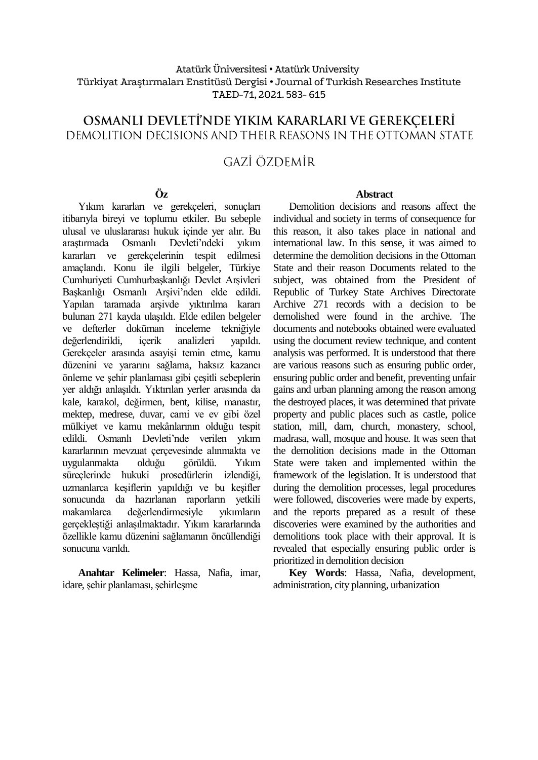## Atatürk Üniversitesi• Atatürk University Türkiyat Araştırmaları Enstitüsü Dergisi • Journal of Turkish Researches Institute TAED-71, 2021. 583- 615

# OSMANLI DEVLETI'NDE YIKIM KARARLARI VE GEREKÇELERİ DEMOLITION DECISIONS AND THEIR REASONS IN THE OTTOMAN STATE

# GAZİ ÖZDEMİR

#### **Öz**

Yıkım kararları ve gerekçeleri, sonuçları itibarıyla bireyi ve toplumu etkiler. Bu sebeple ulusal ve uluslararası hukuk içinde yer alır. Bu araştırmada Osmanlı Devleti'ndeki yıkım kararları ve gerekçelerinin tespit edilmesi amaçlandı. Konu ile ilgili belgeler, Türkiye Cumhuriyeti Cumhurbaşkanlığı Devlet Arşivleri Başkanlığı Osmanlı Arşivi'nden elde edildi. Yapılan taramada arşivde yıktırılma kararı bulunan 271 kayda ulaşıldı. Elde edilen belgeler ve defterler doküman inceleme tekniğiyle değerlendirildi, içerik analizleri yapıldı. Gerekçeler arasında asayişi temin etme, kamu düzenini ve yararını sağlama, haksız kazancı önleme ve şehir planlaması gibi çeşitli sebeplerin yer aldığı anlaşıldı. Yıktırılan yerler arasında da kale, karakol, değirmen, bent, kilise, manastır, mektep, medrese, duvar, cami ve ev gibi özel mülkiyet ve kamu mekânlarının olduğu tespit edildi. Osmanlı Devleti'nde verilen yıkım kararlarının mevzuat çerçevesinde alınmakta ve uygulanmakta olduğu görüldü. Yıkım süreçlerinde hukuki prosedürlerin izlendiği, uzmanlarca keşiflerin yapıldığı ve bu keşifler sonucunda da hazırlanan raporların yetkili makamlarca değerlendirmesiyle yıkımların gerçekleştiği anlaşılmaktadır. Yıkım kararlarında özellikle kamu düzenini sağlamanın öncüllendiği sonucuna varıldı.

**Anahtar Kelimeler**: Hassa, Nafia, imar, idare, şehir planlaması, şehirleşme

#### **Abstract**

Demolition decisions and reasons affect the individual and society in terms of consequence for this reason, it also takes place in national and international law. In this sense, it was aimed to determine the demolition decisions in the Ottoman State and their reason Documents related to the subject, was obtained from the President of Republic of Turkey State Archives Directorate Archive 271 records with a decision to be demolished were found in the archive. The documents and notebooks obtained were evaluated using the document review technique, and content analysis was performed. It is understood that there are various reasons such as ensuring public order, ensuring public order and benefit, preventing unfair gains and urban planning among the reason among the destroyed places, it was determined that private property and public places such as castle, police station, mill, dam, church, monastery, school, madrasa, wall, mosque and house. It was seen that the demolition decisions made in the Ottoman State were taken and implemented within the framework of the legislation. It is understood that during the demolition processes, legal procedures were followed, discoveries were made by experts, and the reports prepared as a result of these discoveries were examined by the authorities and demolitions took place with their approval. It is revealed that especially ensuring public order is prioritized in demolition decision

**Key Words**: Hassa, Nafia, development, administration, city planning, urbanization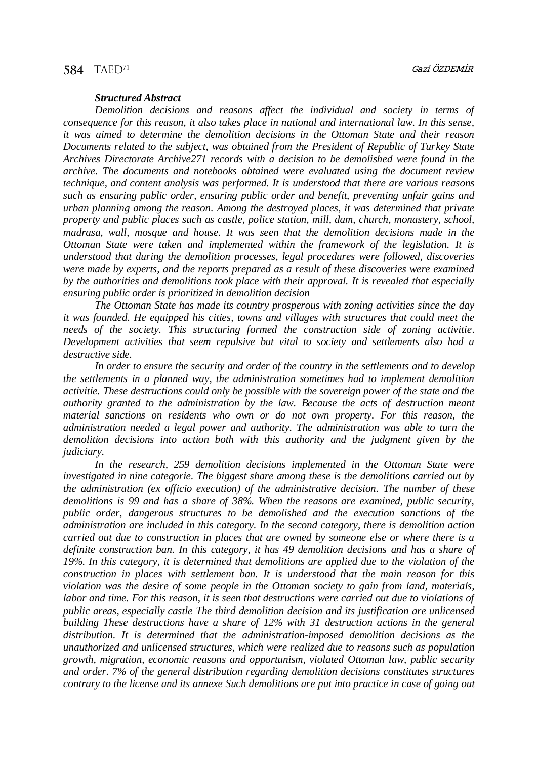#### *Structured Abstract*

*Demolition decisions and reasons affect the individual and society in terms of consequence for this reason, it also takes place in national and international law. In this sense, it was aimed to determine the demolition decisions in the Ottoman State and their reason Documents related to the subject, was obtained from the President of Republic of Turkey State Archives Directorate Archive271 records with a decision to be demolished were found in the archive. The documents and notebooks obtained were evaluated using the document review technique, and content analysis was performed. It is understood that there are various reasons such as ensuring public order, ensuring public order and benefit, preventing unfair gains and urban planning among the reason. Among the destroyed places, it was determined that private property and public places such as castle, police station, mill, dam, church, monastery, school, madrasa, wall, mosque and house. It was seen that the demolition decisions made in the Ottoman State were taken and implemented within the framework of the legislation. It is understood that during the demolition processes, legal procedures were followed, discoveries were made by experts, and the reports prepared as a result of these discoveries were examined by the authorities and demolitions took place with their approval. It is revealed that especially ensuring public order is prioritized in demolition decision*

*The Ottoman State has made its country prosperous with zoning activities since the day it was founded. He equipped his cities, towns and villages with structures that could meet the needs of the society. This structuring formed the construction side of zoning activitie. Development activities that seem repulsive but vital to society and settlements also had a destructive side.* 

*In order to ensure the security and order of the country in the settlements and to develop the settlements in a planned way, the administration sometimes had to implement demolition activitie. These destructions could only be possible with the sovereign power of the state and the authority granted to the administration by the law. Because the acts of destruction meant material sanctions on residents who own or do not own property. For this reason, the administration needed a legal power and authority. The administration was able to turn the demolition decisions into action both with this authority and the judgment given by the judiciary.* 

*In the research, 259 demolition decisions implemented in the Ottoman State were investigated in nine categorie. The biggest share among these is the demolitions carried out by the administration (ex officio execution) of the administrative decision. The number of these demolitions is 99 and has a share of 38%. When the reasons are examined, public security, public order, dangerous structures to be demolished and the execution sanctions of the administration are included in this category. In the second category, there is demolition action carried out due to construction in places that are owned by someone else or where there is a definite construction ban. In this category, it has 49 demolition decisions and has a share of 19%. In this category, it is determined that demolitions are applied due to the violation of the construction in places with settlement ban. It is understood that the main reason for this violation was the desire of some people in the Ottoman society to gain from land, materials, labor and time. For this reason, it is seen that destructions were carried out due to violations of public areas, especially castle The third demolition decision and its justification are unlicensed building These destructions have a share of 12% with 31 destruction actions in the general distribution. It is determined that the administration-imposed demolition decisions as the unauthorized and unlicensed structures, which were realized due to reasons such as population growth, migration, economic reasons and opportunism, violated Ottoman law, public security and order. 7% of the general distribution regarding demolition decisions constitutes structures contrary to the license and its annexe Such demolitions are put into practice in case of going out*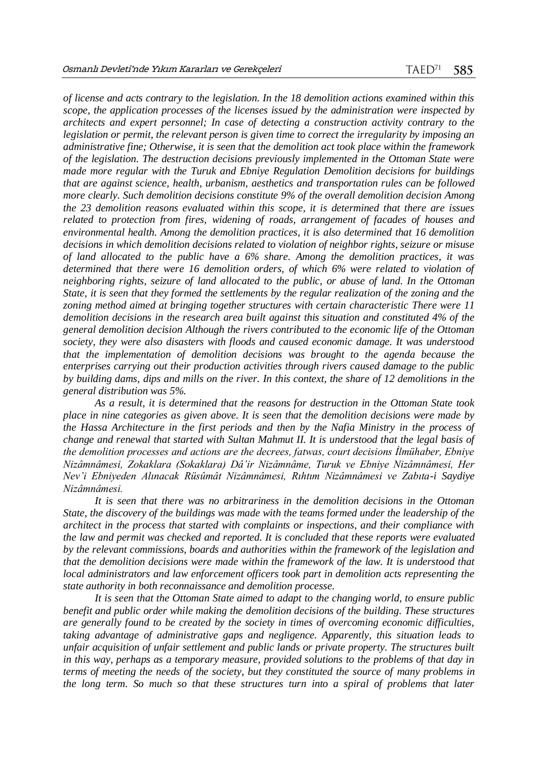*of license and acts contrary to the legislation. In the 18 demolition actions examined within this scope, the application processes of the licenses issued by the administration were inspected by architects and expert personnel; In case of detecting a construction activity contrary to the legislation or permit, the relevant person is given time to correct the irregularity by imposing an administrative fine; Otherwise, it is seen that the demolition act took place within the framework of the legislation. The destruction decisions previously implemented in the Ottoman State were made more regular with the Turuk and Ebniye Regulation Demolition decisions for buildings that are against science, health, urbanism, aesthetics and transportation rules can be followed more clearly. Such demolition decisions constitute 9% of the overall demolition decision Among the 23 demolition reasons evaluated within this scope, it is determined that there are issues related to protection from fires, widening of roads, arrangement of facades of houses and environmental health. Among the demolition practices, it is also determined that 16 demolition decisions in which demolition decisions related to violation of neighbor rights, seizure or misuse of land allocated to the public have a 6% share. Among the demolition practices, it was determined that there were 16 demolition orders, of which 6% were related to violation of neighboring rights, seizure of land allocated to the public, or abuse of land. In the Ottoman State, it is seen that they formed the settlements by the regular realization of the zoning and the zoning method aimed at bringing together structures with certain characteristic There were 11 demolition decisions in the research area built against this situation and constituted 4% of the general demolition decision Although the rivers contributed to the economic life of the Ottoman society, they were also disasters with floods and caused economic damage. It was understood that the implementation of demolition decisions was brought to the agenda because the enterprises carrying out their production activities through rivers caused damage to the public by building dams, dips and mills on the river. In this context, the share of 12 demolitions in the general distribution was 5%.* 

*As a result, it is determined that the reasons for destruction in the Ottoman State took place in nine categories as given above. It is seen that the demolition decisions were made by the Hassa Architecture in the first periods and then by the Nafia Ministry in the process of change and renewal that started with Sultan Mahmut II. It is understood that the legal basis of the demolition processes and actions are the decrees, fatwas, court decisions İlmühaber, Ebniye Nizâmnâmesi, Zokaklara (Sokaklara) Dâ'ir Nizâmnâme, Turuk ve Ebniye Nizâmnâmesi, Her Nev'i Ebniyeden Alınacak Rüsûmât Nizâmnâmesi, Rıhtım Nizâmnâmesi ve Zabıta-i Saydiye Nizâmnâmesi.* 

*It is seen that there was no arbitrariness in the demolition decisions in the Ottoman State, the discovery of the buildings was made with the teams formed under the leadership of the architect in the process that started with complaints or inspections, and their compliance with the law and permit was checked and reported. It is concluded that these reports were evaluated by the relevant commissions, boards and authorities within the framework of the legislation and that the demolition decisions were made within the framework of the law. It is understood that local administrators and law enforcement officers took part in demolition acts representing the state authority in both reconnaissance and demolition processe.*

*It is seen that the Ottoman State aimed to adapt to the changing world, to ensure public benefit and public order while making the demolition decisions of the building. These structures are generally found to be created by the society in times of overcoming economic difficulties, taking advantage of administrative gaps and negligence. Apparently, this situation leads to unfair acquisition of unfair settlement and public lands or private property. The structures built in this way, perhaps as a temporary measure, provided solutions to the problems of that day in terms of meeting the needs of the society, but they constituted the source of many problems in the long term. So much so that these structures turn into a spiral of problems that later*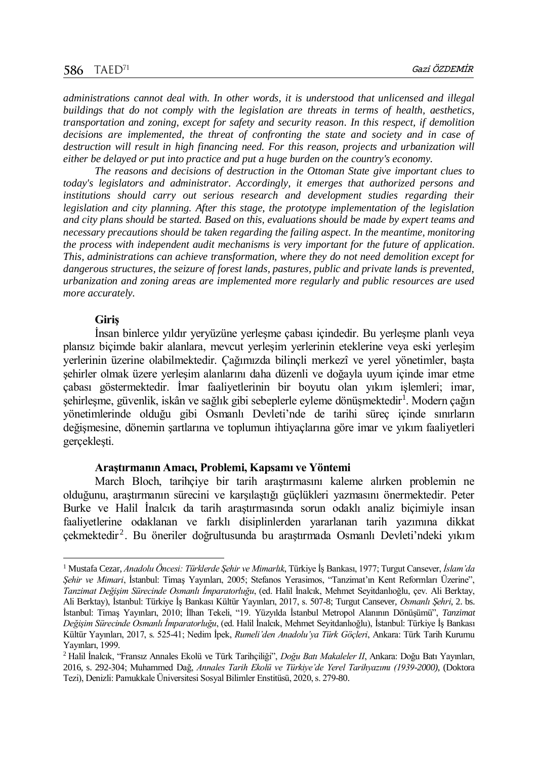*administrations cannot deal with. In other words, it is understood that unlicensed and illegal buildings that do not comply with the legislation are threats in terms of health, aesthetics, transportation and zoning, except for safety and security reason. In this respect, if demolition decisions are implemented, the threat of confronting the state and society and in case of destruction will result in high financing need. For this reason, projects and urbanization will either be delayed or put into practice and put a huge burden on the country's economy.* 

*The reasons and decisions of destruction in the Ottoman State give important clues to today's legislators and administrator. Accordingly, it emerges that authorized persons and institutions should carry out serious research and development studies regarding their legislation and city planning. After this stage, the prototype implementation of the legislation and city plans should be started. Based on this, evaluations should be made by expert teams and necessary precautions should be taken regarding the failing aspect. In the meantime, monitoring the process with independent audit mechanisms is very important for the future of application. This, administrations can achieve transformation, where they do not need demolition except for dangerous structures, the seizure of forest lands, pastures, public and private lands is prevented, urbanization and zoning areas are implemented more regularly and public resources are used more accurately.* 

#### **Giriş**

l

İnsan binlerce yıldır yeryüzüne yerleşme çabası içindedir. Bu yerleşme planlı veya plansız biçimde bakir alanlara, mevcut yerleşim yerlerinin eteklerine veya eski yerleşim yerlerinin üzerine olabilmektedir. Çağımızda bilinçli merkezî ve yerel yönetimler, başta şehirler olmak üzere yerleşim alanlarını daha düzenli ve doğayla uyum içinde imar etme çabası göstermektedir. İmar faaliyetlerinin bir boyutu olan yıkım işlemleri; imar, şehirleşme, güvenlik, iskân ve sağlık gibi sebeplerle eyleme dönüşmektedir<sup>1</sup>. Modern çağın yönetimlerinde olduğu gibi Osmanlı Devleti'nde de tarihi süreç içinde sınırların değişmesine, dönemin şartlarına ve toplumun ihtiyaçlarına göre imar ve yıkım faaliyetleri gerçekleşti.

#### **Araştırmanın Amacı, Problemi, Kapsamı ve Yöntemi**

March Bloch, tarihçiye bir tarih araştırmasını kaleme alırken problemin ne olduğunu, araştırmanın sürecini ve karşılaştığı güçlükleri yazmasını önermektedir. Peter Burke ve Halil İnalcık da tarih araştırmasında sorun odaklı analiz biçimiyle insan faaliyetlerine odaklanan ve farklı disiplinlerden yararlanan tarih yazımına dikkat çekmektedir<sup>2</sup>. Bu öneriler doğrultusunda bu araştırmada Osmanlı Devleti'ndeki yıkım

<sup>1</sup> Mustafa Cezar, *Anadolu Öncesi: Türklerde Şehir ve Mimarlık*, Türkiye İş Bankası, 1977; Turgut Cansever, *İslam'da Şehir ve Mimari*, İstanbul: Timaş Yayınları, 2005; Stefanos Yerasimos, "Tanzimat'ın Kent Reformları Üzerine", *Tanzimat Değişim Sürecinde Osmanlı İmparatorluğu*, (ed. Halil İnalcık, Mehmet Seyitdanlıoğlu, çev. Ali Berktay, Ali Berktay), İstanbul: Türkiye İş Bankası Kültür Yayınları, 2017, s. 507-8; Turgut Cansever, *Osmanlı Şehri*, 2. bs. İstanbul: Timaş Yayınları, 2010; İlhan Tekeli, "19. Yüzyılda İstanbul Metropol Alanının Dönüşümü", *Tanzimat Değişim Sürecinde Osmanlı İmparatorluğu*, (ed. Halil İnalcık, Mehmet Seyitdanlıoğlu), İstanbul: Türkiye İş Bankası Kültür Yayınları, 2017, s. 525-41; Nedim İpek, *Rumeli'den Anadolu'ya Türk Göçleri*, Ankara: Türk Tarih Kurumu Yayınları, 1999.

<sup>2</sup> Halil İnalcık, "Fransız Annales Ekolü ve Türk Tarihçiliği", *Doğu Batı Makaleler II*, Ankara: Doğu Batı Yayınları, 2016, s. 292-304; Muhammed Dağ, *Annales Tarih Ekolü ve Türkiye'de Yerel Tarihyazımı (1939-2000)*, (Doktora Tezi), Denizli: Pamukkale Üniversitesi Sosyal Bilimler Enstitüsü, 2020, s. 279-80.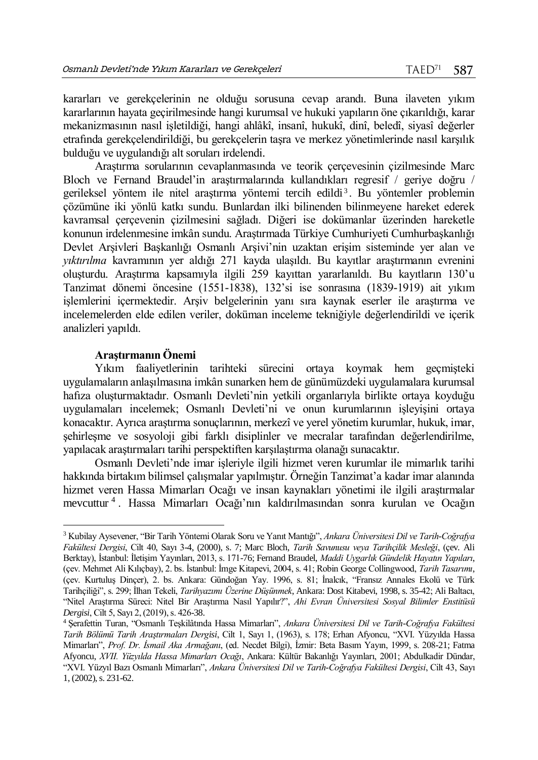kararları ve gerekçelerinin ne olduğu sorusuna cevap arandı. Buna ilaveten yıkım kararlarının hayata geçirilmesinde hangi kurumsal ve hukuki yapıların öne çıkarıldığı, karar mekanizmasının nasıl işletildiği, hangi ahlâkî, insanî, hukukî, dinî, beledî, siyasî değerler etrafında gerekçelendirildiği, bu gerekçelerin taşra ve merkez yönetimlerinde nasıl karşılık bulduğu ve uygulandığı alt soruları irdelendi.

Araştırma sorularının cevaplanmasında ve teorik çerçevesinin çizilmesinde Marc Bloch ve Fernand Braudel'in araştırmalarında kullandıkları regresif / geriye doğru / gerileksel yöntem ile nitel araştırma yöntemi tercih edildi<sup>3</sup>. Bu yöntemler problemin çözümüne iki yönlü katkı sundu. Bunlardan ilki bilinenden bilinmeyene hareket ederek kavramsal çerçevenin çizilmesini sağladı. Diğeri ise dokümanlar üzerinden hareketle konunun irdelenmesine imkân sundu. Araştırmada Türkiye Cumhuriyeti Cumhurbaşkanlığı Devlet Arşivleri Başkanlığı Osmanlı Arşivi'nin uzaktan erişim sisteminde yer alan ve *yıktırılma* kavramının yer aldığı 271 kayda ulaşıldı. Bu kayıtlar araştırmanın evrenini oluşturdu. Araştırma kapsamıyla ilgili 259 kayıttan yararlanıldı. Bu kayıtların 130'u Tanzimat dönemi öncesine (1551-1838), 132'si ise sonrasına (1839-1919) ait yıkım işlemlerini içermektedir. Arşiv belgelerinin yanı sıra kaynak eserler ile araştırma ve incelemelerden elde edilen veriler, doküman inceleme tekniğiyle değerlendirildi ve içerik analizleri yapıldı.

#### **Araştırmanın Önemi**

l

Yıkım faaliyetlerinin tarihteki sürecini ortaya koymak hem geçmişteki uygulamaların anlaşılmasına imkân sunarken hem de günümüzdeki uygulamalara kurumsal hafıza oluşturmaktadır. Osmanlı Devleti'nin yetkili organlarıyla birlikte ortaya koyduğu uygulamaları incelemek; Osmanlı Devleti'ni ve onun kurumlarının işleyişini ortaya konacaktır. Ayrıca araştırma sonuçlarının, merkezî ve yerel yönetim kurumlar, hukuk, imar, şehirleşme ve sosyoloji gibi farklı disiplinler ve mecralar tarafından değerlendirilme, yapılacak araştırmaları tarihi perspektiften karşılaştırma olanağı sunacaktır.

Osmanlı Devleti'nde imar işleriyle ilgili hizmet veren kurumlar ile mimarlık tarihi hakkında birtakım bilimsel çalışmalar yapılmıştır. Örneğin Tanzimat'a kadar imar alanında hizmet veren Hassa Mimarları Ocağı ve insan kaynakları yönetimi ile ilgili araştırmalar mevcuttur <sup>4</sup> . Hassa Mimarları Ocağı'nın kaldırılmasından sonra kurulan ve Ocağın

<sup>3</sup> Kubilay Aysevener, "Bir Tarih Yöntemi Olarak Soru ve Yanıt Mantığı", *Ankara Üniversitesi Dil ve Tarih-Coğrafya Fakültesi Dergisi*, Cilt 40, Sayı 3-4, (2000), s. 7; Marc Bloch, *Tarih Savunusu veya Tarihçilik Mesleği*, (çev. Ali Berktay), İstanbul: İletişim Yayınları, 2013, s. 171-76; Fernand Braudel, *Maddi Uygarlık Gündelik Hayatın Yapıları*, (çev. Mehmet Ali Kılıçbay), 2. bs. İstanbul: İmge Kitapevi, 2004, s. 41; Robin George Collingwood, *Tarih Tasarımı*, (çev. Kurtuluş Dinçer), 2. bs. Ankara: Gündoğan Yay. 1996, s. 81; İnalcık, "Fransız Annales Ekolü ve Türk Tarihçiliği", s. 299; İlhan Tekeli, *Tarihyazımı Üzerine Düşünmek*, Ankara: Dost Kitabevi, 1998, s. 35-42; Ali Baltacı, "Nitel Araştırma Süreci: Nitel Bir Araştırma Nasıl Yapılır?", *Ahi Evran Üniversitesi Sosyal Bilimler Enstitüsü Dergisi*, Cilt 5, Sayı 2, (2019), s. 426-38.

<sup>4</sup> Şerafettin Turan, "Osmanlı Teşkilâtında Hassa Mimarları", *Ankara Üniversitesi Dil ve Tarih-Coğrafya Fakültesi Tarih Bölümü Tarih Araştırmaları Dergisi*, Cilt 1, Sayı 1, (1963), s. 178; Erhan Afyoncu, "XVI. Yüzyılda Hassa Mimarları", *Prof. Dr. İsmail Aka Armağanı*, (ed. Necdet Bilgi), İzmir: Beta Basım Yayın, 1999, s. 208-21; Fatma Afyoncu, *XVII. Yüzyılda Hassa Mimarları Ocağı*, Ankara: Kültür Bakanlığı Yayınları, 2001; Abdulkadir Dündar, "XVI. Yüzyıl Bazı Osmanlı Mimarları", *Ankara Üniversitesi Dil ve Tarih-Coğrafya Fakültesi Dergisi*, Cilt 43, Sayı 1, (2002), s. 231-62.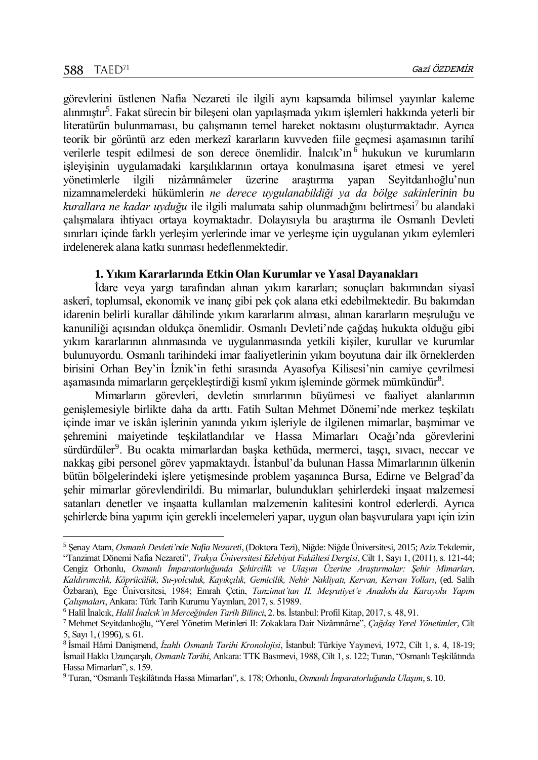$\overline{a}$ 

görevlerini üstlenen Nafia Nezareti ile ilgili aynı kapsamda bilimsel yayınlar kaleme alınmıştır<sup>5</sup>. Fakat sürecin bir bileşeni olan yapılaşmada yıkım işlemleri hakkında yeterli bir literatürün bulunmaması, bu çalışmanın temel hareket noktasını oluşturmaktadır. Ayrıca teorik bir görüntü arz eden merkezî kararların kuvveden fiile geçmesi aşamasının tarihî verilerle tespit edilmesi de son derece önemlidir. İnalcık'ın <sup>6</sup> hukukun ve kurumların işleyişinin uygulamadaki karşılıklarının ortaya konulmasına işaret etmesi ve yerel yönetimlerle ilgili nizâmnâmeler üzerine araştırma yapan Seyı̇tdanlıoğlu'nun nizamnamelerdeki hükümlerin *ne derece uygulanabildiği ya da bölge sakinlerinin bu*  kurallara ne kadar uyduğu ile ilgili malumata sahip olunmadığını belirtmesi<sup>7</sup> bu alandaki çalışmalara ihtiyacı ortaya koymaktadır. Dolayısıyla bu araştırma ile Osmanlı Devleti sınırları içinde farklı yerleşim yerlerinde imar ve yerleşme için uygulanan yıkım eylemleri irdelenerek alana katkı sunması hedeflenmektedir.

#### **1. Yıkım Kararlarında Etkin Olan Kurumlar ve Yasal Dayanakları**

İdare veya yargı tarafından alınan yıkım kararları; sonuçları bakımından siyasî askerî, toplumsal, ekonomik ve inanç gibi pek çok alana etki edebilmektedir. Bu bakımdan idarenin belirli kurallar dâhilinde yıkım kararlarını alması, alınan kararların meşruluğu ve kanuniliği açısından oldukça önemlidir. Osmanlı Devleti'nde çağdaş hukukta olduğu gibi yıkım kararlarının alınmasında ve uygulanmasında yetkili kişiler, kurullar ve kurumlar bulunuyordu. Osmanlı tarihindeki imar faaliyetlerinin yıkım boyutuna dair ilk örneklerden birisini Orhan Bey'in İznik'in fethi sırasında Ayasofya Kilisesi'nin camiye çevrilmesi aşamasında mimarların gerçekleştirdiği kısmî yıkım işleminde görmek mümkündür<sup>8</sup>.

Mimarların görevleri, devletin sınırlarının büyümesi ve faaliyet alanlarının genişlemesiyle birlikte daha da arttı. Fatih Sultan Mehmet Dönemi'nde merkez teşkilatı içinde imar ve iskân işlerinin yanında yıkım işleriyle de ilgilenen mimarlar, başmimar ve şehremini maiyetinde teşkilatlandılar ve Hassa Mimarları Ocağı'nda görevlerini sürdürdüler<sup>9</sup>. Bu ocakta mimarlardan başka kethüda, mermerci, taşçı, sıvacı, neccar ve nakkaş gibi personel görev yapmaktaydı. İstanbul'da bulunan Hassa Mimarlarının ülkenin bütün bölgelerindeki işlere yetişmesinde problem yaşanınca Bursa, Edirne ve Belgrad'da şehir mimarlar görevlendirildi. Bu mimarlar, bulundukları şehirlerdeki inşaat malzemesi satanları denetler ve inşaatta kullanılan malzemenin kalitesini kontrol ederlerdi. Ayrıca şehirlerde bina yapımı için gerekli incelemeleri yapar, uygun olan başvurulara yapı için izin

<sup>5</sup> Şenay Atam, *Osmanlı Devleti'nde Nafia Nezareti*, (Doktora Tezi), Niğde: Niğde Üniversitesi, 2015; Aziz Tekdemı̇r, "Tanzimat Dönemi Nafia Nezareti", *Trakya Üniversitesi Edebiyat Fakültesi Dergisi*, Cilt 1, Sayı 1, (2011), s. 121-44; Cengiz Orhonlu, *Osmanlı İmparatorluğunda Şehircilik ve Ulaşım Üzerine Araştırmalar: Şehir Mimarları, Kaldırımcılık, Köprücülük, Su-yolculuk, Kayıkçılık, Gemicilik, Nehir Nakliyatı, Kervan, Kervan Yolları*, (ed. Salih Özbaran), Ege Üniversitesi, 1984; Emrah Çetin, *Tanzimat'tan II. Meşrutiyet'e Anadolu'da Karayolu Yapım Çalışmaları*, Ankara: Türk Tarih Kurumu Yayınları, 2017, s. 51989.

<sup>6</sup> Halil İnalcık, *Halil İnalcık'ın Merceğinden Tarih Bilinci*, 2. bs. İstanbul: Profil Kitap, 2017, s. 48, 91.

<sup>7</sup> Mehmet Seyı̇tdanlıoğlu, "Yerel Yönetim Metinleri II: Zokaklara Dair Nizâmnâme", *Çağdaş Yerel Yönetimler*, Cilt 5, Sayı 1, (1996), s. 61.

<sup>8</sup> İsmail Hâmi Danişmend, *İzahlı Osmanlı Tarihi Kronolojisi*, İstanbul: Türkiye Yayınevi, 1972, Cilt 1, s. 4, 18-19; İsmail Hakkı Uzunçarşılı, *Osmanlı Tarihi*, Ankara: TTK Basımevi, 1988, Cilt 1, s. 122; Turan, "Osmanlı Teşkilâtında Hassa Mimarları", s. 159.

<sup>9</sup> Turan, "Osmanlı Teşkilâtında Hassa Mimarları", s. 178; Orhonlu, *Osmanlı İmparatorluğunda Ulaşım*, s. 10.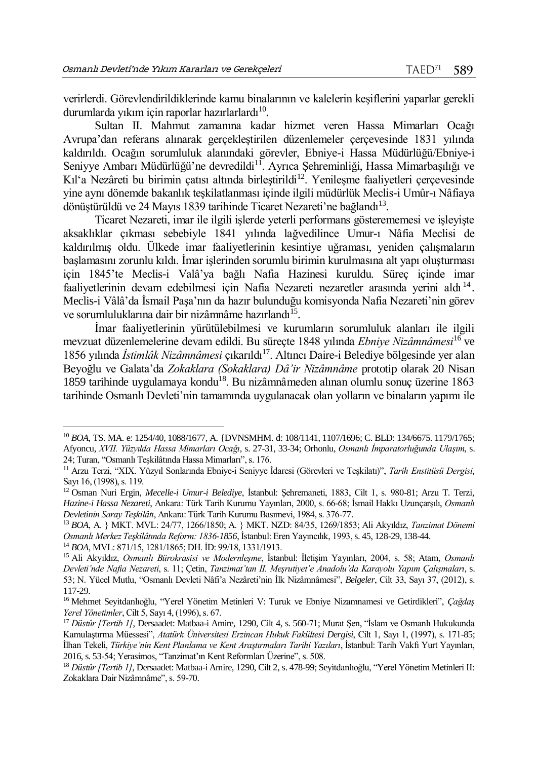verirlerdi. Görevlendirildiklerinde kamu binalarının ve kalelerin keşiflerini yaparlar gerekli durumlarda yıkım için raporlar hazırlarlardı $^{10}$ .

Sultan II. Mahmut zamanına kadar hizmet veren Hassa Mimarları Ocağı Avrupa'dan referans alınarak gerçekleştirilen düzenlemeler çerçevesinde 1831 yılında kaldırıldı. Ocağın sorumluluk alanındaki görevler, Ebniye-i Hassa Müdürlüğü/Ebniye-i Seniyye Ambarı Müdürlüğü'ne devredildi<sup>11</sup>. Ayrıca Şehreminliği, Hassa Mimarbaşılığı ve Kıl'a Nezâreti bu birimin çatısı altında birleştirildi<sup>12</sup>. Yenilesme faaliyetleri çerçevesinde yine aynı dönemde bakanlık teşkilatlanması içinde ilgili müdürlük Meclis-i Umûr-ı Nâfiaya dönüştürüldü ve 24 Mayıs 1839 tarihinde Ticaret Nezareti'ne bağlandı<sup>13</sup>.

Ticaret Nezareti, imar ile ilgili işlerde yeterli performans gösterememesi ve işleyişte aksaklıklar çıkması sebebiyle 1841 yılında lağvedilince Umur-ı Nâfia Meclisi de kaldırılmış oldu. Ülkede imar faaliyetlerinin kesintiye uğraması, yeniden çalışmaların başlamasını zorunlu kıldı. İmar işlerinden sorumlu birimin kurulmasına alt yapı oluşturması için 1845'te Meclis-i Valâ'ya bağlı Nafia Hazinesi kuruldu. Süreç içinde imar faaliyetlerinin devam edebilmesi için Nafia Nezareti nezaretler arasında yerini aldı<sup>14</sup>. Meclis-i Vâlâ'da İsmail Paşa'nın da hazır bulunduğu komisyonda Nafia Nezareti'nin görev ve sorumluluklarına dair bir nizâmnâme hazırlandı<sup>15</sup>.

İmar faaliyetlerinin yürütülebilmesi ve kurumların sorumluluk alanları ile ilgili mevzuat düzenlemelerine devam edildi. Bu süreçte 1848 yılında *Ebniye Nizâmnâmesi*<sup>16</sup> ve 1856 yılında İstimlâk Nizâmnâmesi çıkarıldı<sup>17</sup>. Altıncı Daire-i Belediye bölgesinde yer alan Beyoğlu ve Galata'da *Zokaklara (Sokaklara) Dâ'ir Nizâmnâme* prototip olarak 20 Nisan 1859 tarihinde uygulamaya kondu<sup>18</sup>. Bu nizâmnâmeden alınan olumlu sonuç üzerine 1863 tarihinde Osmanlı Devleti'nin tamamında uygulanacak olan yolların ve binaların yapımı ile

l

<sup>10</sup> *BOA*, TS. MA. e: 1254/40, 1088/1677, A. {DVNSMHM. d: 108/1141, 1107/1696; C. BLD: 134/6675. 1179/1765; Afyoncu, *XVII. Yüzyılda Hassa Mimarları Ocağı*, s. 27-31, 33-34; Orhonlu, *Osmanlı İmparatorluğunda Ulaşım*, s. 24; Turan, "Osmanlı Teşkilâtında Hassa Mimarları", s. 176.

<sup>11</sup> Arzu Terzi, "XIX. Yüzyıl Sonlarında Ebniye-i Seniyye İdaresi (Görevleri ve Teşkilatı)", *Tarih Enstitüsü Dergisi*, Sayı 16, (1998), s. 119.

<sup>12</sup> Osman Nuri Ergin, *Mecelle-i Umur-i Belediye*, İstanbul: Şehremaneti, 1883, Cilt 1, s. 980-81; Arzu T. Terzi, *Hazine-i Hassa Nezareti*, Ankara: Türk Tarih Kurumu Yayınları, 2000, s. 66-68; İsmail Hakkı Uzunçarşılı, *Osmanlı Devletinin Saray Teşkilâtı*, Ankara: Türk Tarih Kurumu Basımevi, 1984, s. 376-77.

<sup>13</sup> *BOA*, A. } MKT. MVL: 24/77, 1266/1850; A. } MKT. NZD: 84/35, 1269/1853; Ali Akyıldız, *Tanzimat Dönemi Osmanlı Merkez Teşkilâtında Reform: 1836-1856*, İstanbul: Eren Yayıncılık, 1993,s. 45, 128-29, 138-44.

<sup>14</sup> *BOA*, MVL: 871/15, 1281/1865; DH. İD: 99/18, 1331/1913.

<sup>15</sup> Ali Akyıldız, *Osmanlı Bürokrasisi ve Modernleşme*, İstanbul: İletişim Yayınları, 2004, s. 58; Atam, *Osmanlı Devleti'nde Nafia Nezareti*, s. 11; Çetin, *Tanzimat'tan II. Meşrutiyet'e Anadolu'da Karayolu Yapım Çalışmaları*, s. 53; N. Yücel Mutlu, "Osmanlı Devleti Nâfi'a Nezâreti'nin İlk Nizâmnâmesi", *Belgeler*, Cilt 33, Sayı 37, (2012), s. 117-29.

<sup>16</sup> Mehmet Seyı̇tdanlıoğlu, "Yerel Yönetim Metinleri V: Turuk ve Ebniye Nizamnamesi ve Getirdikleri", *Çağdaş Yerel Yönetimler*, Cilt 5, Sayı 4, (1996), s. 67.

<sup>&</sup>lt;sup>17</sup> Düstûr [Tertib 1], Dersaadet: Matbaa-i Amire, 1290, Cilt 4, s. 560-71; Murat Şen, "İslam ve Osmanlı Hukukunda Kamulaştırma Müessesi", *Atatürk Üniversitesi Erzincan Hukuk Fakültesi Dergisi*, Cilt 1, Sayı 1, (1997), s. 171-85; İlhan Tekeli, *Türkiye'nin Kent Planlama ve Kent Araştırmaları Tarihi Yazıları*, İstanbul: Tarih Vakfı Yurt Yayınları, 2016, s. 53-54; Yerasimos, "Tanzimat'ın Kent Reformları Üzerine", s. 508.

<sup>&</sup>lt;sup>18</sup> Düstûr [Tertib 1], Dersaadet: Matbaa-i Amire, 1290, Cilt 2, s. 478-99; Seyitdanlıoğlu, "Yerel Yönetim Metinleri II: Zokaklara Dair Nizâmnâme", s. 59-70.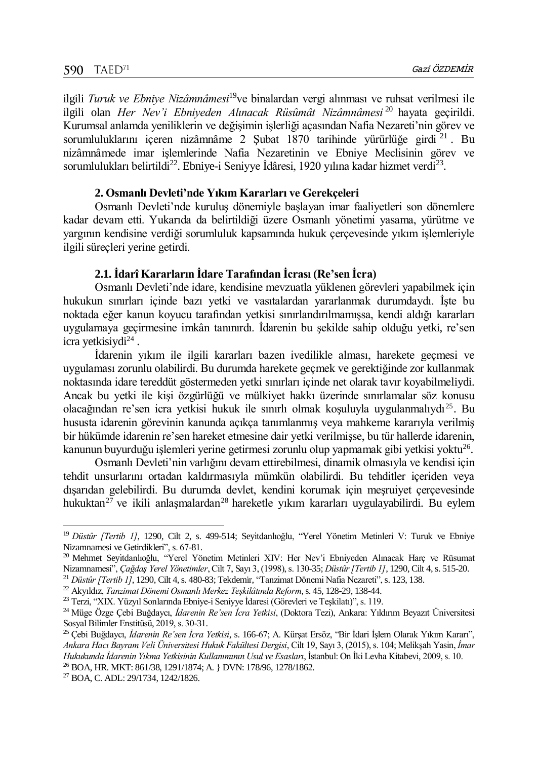ilgili *Turuk ve Ebniye Nizâmnâmesi*<sup>19</sup>ve binalardan vergi alınması ve ruhsat verilmesi ile ilgili olan *Her Nev'i Ebniyeden Alınacak Rüsûmât Nizâmnâmesi* <sup>20</sup> hayata geçirildi. Kurumsal anlamda yeniliklerin ve değişimin işlerliği açasından Nafia Nezareti'nin görev ve sorumluluklarını içeren nizâmnâme 2 Şubat 1870 tarihinde yürürlüğe girdi <sup>21</sup>. Bu nizâmnâmede imar işlemlerinde Nafia Nezaretinin ve Ebniye Meclisinin görev ve sorumlulukları belirtildi<sup>22</sup>. Ebniye-i Seniyye İdâresi, 1920 yılına kadar hizmet verdi<sup>23</sup>.

## **2. Osmanlı Devleti'nde Yıkım Kararları ve Gerekçeleri**

Osmanlı Devleti'nde kuruluş dönemiyle başlayan imar faaliyetleri son dönemlere kadar devam etti. Yukarıda da belirtildiği üzere Osmanlı yönetimi yasama, yürütme ve yargının kendisine verdiği sorumluluk kapsamında hukuk çerçevesinde yıkım işlemleriyle ilgili süreçleri yerine getirdi.

## **2.1. İdarî Kararların İdare Tarafından İcrası (Re'sen İcra)**

Osmanlı Devleti'nde idare, kendisine mevzuatla yüklenen görevleri yapabilmek için hukukun sınırları içinde bazı yetki ve vasıtalardan yararlanmak durumdaydı. İşte bu noktada eğer kanun koyucu tarafından yetkisi sınırlandırılmamışsa, kendi aldığı kararları uygulamaya geçirmesine imkân tanınırdı. İdarenin bu şekilde sahip olduğu yetki, re'sen icra yetkisiydi<sup>24</sup>.

İdarenin yıkım ile ilgili kararları bazen ivedilikle alması, harekete geçmesi ve uygulaması zorunlu olabilirdi. Bu durumda harekete geçmek ve gerektiğinde zor kullanmak noktasında idare tereddüt göstermeden yetki sınırları içinde net olarak tavır koyabilmeliydi. Ancak bu yetki ile kişi özgürlüğü ve mülkiyet hakkı üzerinde sınırlamalar söz konusu olacağından re'sen icra yetkisi hukuk ile sınırlı olmak koşuluyla uygulanmalıydı<sup>25</sup>. Bu hususta idarenin görevinin kanunda açıkça tanımlanmış veya mahkeme kararıyla verilmiş bir hükümde idarenin re'sen hareket etmesine dair yetki verilmişse, bu tür hallerde idarenin, kanunun buyurduğu işlemleri yerine getirmesi zorunlu olup yapmamak gibi yetkisi yoktu<sup>26</sup>.

Osmanlı Devleti'nin varlığını devam ettirebilmesi, dinamik olmasıyla ve kendisi için tehdit unsurlarını ortadan kaldırmasıyla mümkün olabilirdi. Bu tehditler içeriden veya dışarıdan gelebilirdi. Bu durumda devlet, kendini korumak için meşruiyet çerçevesinde hukuktan<sup>27</sup> ve ikili anlaşmalardan<sup>28</sup> hareketle yıkım kararları uygulayabilirdi. Bu eylem

l

<sup>&</sup>lt;sup>19</sup> Düstûr [Tertib 1], 1290, Cilt 2, s. 499-514; Sevitdanlıoğlu, "Yerel Yönetim Metinleri V: Turuk ve Ebniye Nizamnamesi ve Getirdikleri", s. 67-81.

<sup>&</sup>lt;sup>20</sup> Mehmet Seyitdanlıoğlu, "Yerel Yönetim Metinleri XIV: Her Nev'i Ebniyeden Alınacak Harç ve Rüsumat Nizamnamesi", *Çağdaş Yerel Yönetimler*, Cilt 7, Sayı 3, (1998), s. 130-35; *Düstûr [Tertib 1]*, 1290, Cilt 4, s. 515-20.

<sup>&</sup>lt;sup>21</sup> *Düstûr [Tertib 1]*, 1290, Cilt 4, s. 480-83; Tekdemir, "Tanzimat Dönemi Nafia Nezareti", s. 123, 138.

<sup>22</sup> Akyıldız, *Tanzimat Dönemi Osmanlı Merkez Teşkilâtında Reform*, s. 45, 128-29, 138-44.

<sup>23</sup> Terzi, "XIX. Yüzyıl Sonlarında Ebniye-i Seniyye İdaresi (Görevleri ve Teşkilatı)", s. 119.

<sup>24</sup> Müge Özge Çebi Buğdaycı, *İdarenin Re'sen İcra Yetkisi*, (Doktora Tezi), Ankara: Yıldırım Beyazıt Üniversitesi Sosyal Bilimler Enstitüsü, 2019, s. 30-31.

<sup>25</sup> Çebi Buğdaycı, *İdarenin Re'sen İcra Yetkisi*, s. 166-67; A. Kürşat Ersöz, "Bir İdari İşlem Olarak Yıkım Kararı", *Ankara Hacı Bayram Veli Üniversitesi Hukuk Fakültesi Dergisi*, Cilt 19, Sayı 3, (2015), s. 104; Melikşah Yasin, *İmar Hukukunda İdarenin Yıkma Yetkisinin Kullanımının Usul ve Esasları*, İstanbul: On İki Levha Kitabevi, 2009, s. 10. <sup>26</sup> BOA, HR. MKT: 861/38, 1291/1874; A. } DVN: 178/96, 1278/1862.

<sup>27</sup> BOA, C. ADL: 29/1734, 1242/1826.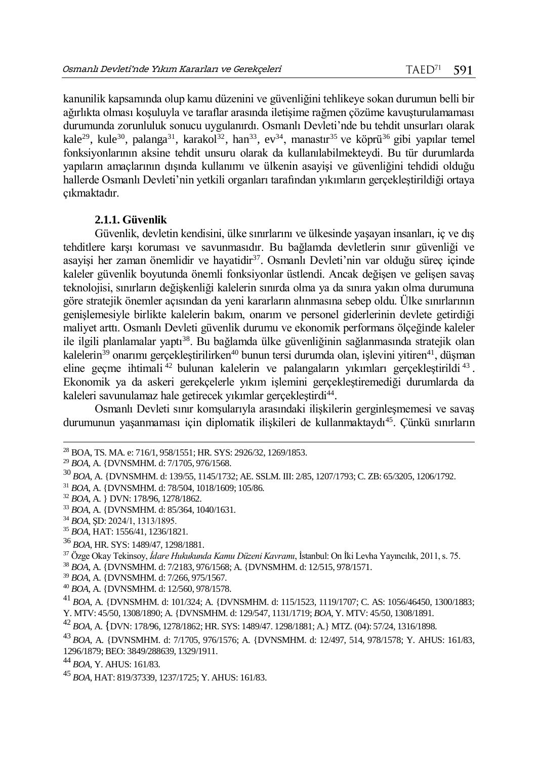kanunilik kapsamında olup kamu düzenini ve güvenliğini tehlikeye sokan durumun belli bir ağırlıkta olması koşuluyla ve taraflar arasında iletişime rağmen çözüme kavuşturulamaması durumunda zorunluluk sonucu uygulanırdı. Osmanlı Devleti'nde bu tehdit unsurları olarak kale<sup>29</sup>, kule<sup>30</sup>, palanga<sup>31</sup>, karakol<sup>32</sup>, han<sup>33</sup>, ev<sup>34</sup>, manastır<sup>35</sup> ve köprü<sup>36</sup> gibi yapılar temel fonksiyonlarının aksine tehdit unsuru olarak da kullanılabilmekteydi. Bu tür durumlarda yapıların amaçlarının dışında kullanımı ve ülkenin asayişi ve güvenliğini tehdidi olduğu hallerde Osmanlı Devleti'nin yetkili organları tarafından yıkımların gerçekleştirildiği ortaya çıkmaktadır.

#### **2.1.1. Güvenlik**

Güvenlik, devletin kendisini, ülke sınırlarını ve ülkesinde yaşayan insanları, iç ve dış tehditlere karşı koruması ve savunmasıdır. Bu bağlamda devletlerin sınır güvenliği ve asayişi her zaman önemlidir ve hayatidir<sup>37</sup>. Osmanlı Devleti'nin var olduğu süreç içinde kaleler güvenlik boyutunda önemli fonksiyonlar üstlendi. Ancak değişen ve gelişen savaş teknolojisi, sınırların değişkenliği kalelerin sınırda olma ya da sınıra yakın olma durumuna göre stratejik önemler açısından da yeni kararların alınmasına sebep oldu. Ülke sınırlarının genişlemesiyle birlikte kalelerin bakım, onarım ve personel giderlerinin devlete getirdiği maliyet arttı. Osmanlı Devleti güvenlik durumu ve ekonomik performans ölçeğinde kaleler ile ilgili planlamalar yaptı<sup>38</sup>. Bu bağlamda ülke güvenliğinin sağlanmasında stratejik olan kalelerin<sup>39</sup> onarımı gerçekleştirilirken<sup>40</sup> bunun tersi durumda olan, işlevini yitiren<sup>41</sup>, düşman eline geçme ihtimali<sup>42</sup> bulunan kalelerin ve palangaların yıkımları gerçekleştirildi<sup>43</sup>. Ekonomik ya da askeri gerekçelerle yıkım işlemini gerçekleştiremediği durumlarda da kaleleri savunulamaz hale getirecek yıkımlar gerçekleştirdi<sup>44</sup>.

Osmanlı Devleti sınır komşularıyla arasındaki ilişkilerin gerginleşmemesi ve savaş durumunun yaşanmaması için diplomatik ilişkileri de kullanmaktaydı<sup>45</sup>. Çünkü sınırların

 $\overline{a}$ 

<sup>36</sup> *BOA*, HR. SYS: 1489/47, 1298/1881.

- <sup>38</sup> *BOA*, A. {DVNSMHM. d: 7/2183, 976/1568; A. {DVNSMHM. d: 12/515, 978/1571.
- <sup>39</sup> *BOA*, A. {DVNSMHM. d: 7/266, 975/1567.
- <sup>40</sup> *BOA*, A. {DVNSMHM. d: 12/560, 978/1578.
- <sup>41</sup> *BOA*, A. {DVNSMHM. d: 101/324; A. {DVNSMHM. d: 115/1523, 1119/1707; C. AS: 1056/46450, 1300/1883; Y. MTV: 45/50, 1308/1890; A. {DVNSMHM. d: 129/547, 1131/1719; *BOA*, Y. MTV: 45/50, 1308/1891.

<sup>28</sup> BOA, TS. MA. e: 716/1, 958/1551; HR. SYS: 2926/32, 1269/1853.

<sup>29</sup> *BOA,* A. {DVNSMHM. d: 7/1705, 976/1568.

<sup>30</sup> *BOA*, A. {DVNSMHM. d: 139/55, 1145/1732; AE. SSLM. III: 2/85, 1207/1793; C. ZB: 65/3205, 1206/1792.

<sup>31</sup> *BOA*, A. {DVNSMHM. d: 78/504, 1018/1609; 105/86.

<sup>32</sup> *BOA*, A. } DVN: 178/96, 1278/1862.

<sup>33</sup> *BOA*, A. {DVNSMHM. d: 85/364, 1040/1631.

<sup>34</sup> *BOA*, ŞD: 2024/1, 1313/1895.

<sup>35</sup> *BOA*, HAT: 1556/41, 1236/1821.

<sup>37</sup> Özge Okay Tekinsoy, *İdare Hukukunda Kamu Düzeni Kavramı*, İstanbul: On İki Levha Yayıncılık, 2011, s. 75.

<sup>42</sup> *BOA*, A. {DVN: 178/96, 1278/1862; HR. SYS: 1489/47. 1298/1881; A.} MTZ. (04): 57/24, 1316/1898.

<sup>43</sup> *BOA,* A. {DVNSMHM. d: 7/1705, 976/1576; A. {DVNSMHM. d: 12/497, 514, 978/1578; Y. AHUS: 161/83, 1296/1879; BEO: 3849/288639, 1329/1911.

<sup>44</sup> *BOA,* Y. AHUS: 161/83.

<sup>45</sup> *BOA*, HAT: 819/37339, 1237/1725; Y. AHUS: 161/83.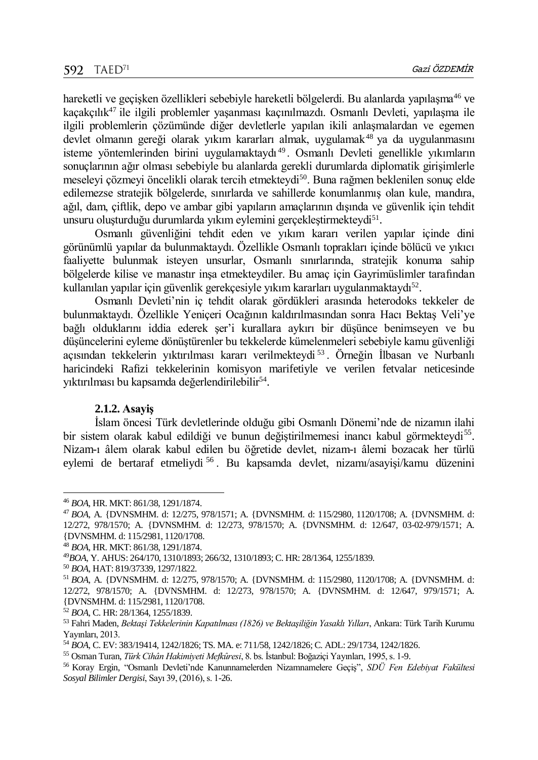hareketli ve geçişken özellikleri sebebiyle hareketli bölgelerdi. Bu alanlarda yapılaşma<sup>46</sup> ve kaçakçılık<sup>47</sup> ile ilgili problemler yaşanması kaçınılmazdı. Osmanlı Devleti, yapılaşma ile ilgili problemlerin çözümünde diğer devletlerle yapılan ikili anlaşmalardan ve egemen devlet olmanın gereği olarak yıkım kararları almak, uygulamak<sup>48</sup> ya da uygulanmasını isteme yöntemlerinden birini uygulamaktaydı <sup>49</sup> . Osmanlı Devleti genellikle yıkımların sonuçlarının ağır olması sebebiyle bu alanlarda gerekli durumlarda diplomatik girişimlerle meseleyi çözmeyi öncelikli olarak tercih etmekteydi<sup>50</sup>. Buna rağmen beklenilen sonuç elde edilemezse stratejik bölgelerde, sınırlarda ve sahillerde konumlanmış olan kule, mandıra, ağıl, dam, çiftlik, depo ve ambar gibi yapıların amaçlarının dışında ve güvenlik için tehdit unsuru oluşturduğu durumlarda yıkım eylemini gerçekleştirmekteydi<sup>51</sup>.

Osmanlı güvenliğini tehdit eden ve yıkım kararı verilen yapılar içinde dini görünümlü yapılar da bulunmaktaydı. Özellikle Osmanlı toprakları içinde bölücü ve yıkıcı faaliyette bulunmak isteyen unsurlar, Osmanlı sınırlarında, stratejik konuma sahip bölgelerde kilise ve manastır inşa etmekteydiler. Bu amaç için Gayrimüslimler tarafından kullanılan yapılar için güvenlik gerekçesiyle yıkım kararları uygulanmaktaydı<sup>52</sup>.

Osmanlı Devleti'nin iç tehdit olarak gördükleri arasında heterodoks tekkeler de bulunmaktaydı. Özellikle Yeniçeri Ocağının kaldırılmasından sonra Hacı Bektaş Veli'ye bağlı olduklarını iddia ederek şer'i kurallara aykırı bir düşünce benimseyen ve bu düşüncelerini eyleme dönüştürenler bu tekkelerde kümelenmeleri sebebiyle kamu güvenliği açısından tekkelerin yıktırılması kararı verilmekteydi <sup>53</sup> . Örneğin İlbasan ve Nurbanlı haricindeki Rafizi tekkelerinin komisyon marifetiyle ve verilen fetvalar neticesinde yıktırılması bu kapsamda değerlendirilebilir<sup>54</sup>.

#### **2.1.2. Asayiş**

İslam öncesi Türk devletlerinde olduğu gibi Osmanlı Dönemi'nde de nizamın ilahi bir sistem olarak kabul edildiği ve bunun değiştirilmemesi inancı kabul görmekteydi<sup>55</sup>. Nizam-ı âlem olarak kabul edilen bu öğretide devlet, nizam-ı âlemi bozacak her türlü eylemi de bertaraf etmeliydi <sup>56</sup> . Bu kapsamda devlet, nizamı/asayişi/kamu düzenini

 $\overline{a}$ 

<sup>48</sup> *BOA*, HR. MKT: 861/38, 1291/1874.

<sup>46</sup> *BOA*, HR. MKT: 861/38, 1291/1874.

<sup>47</sup> *BOA*, A. {DVNSMHM. d: 12/275, 978/1571; A. {DVNSMHM. d: 115/2980, 1120/1708; A. {DVNSMHM. d: 12/272, 978/1570; A. {DVNSMHM. d: 12/273, 978/1570; A. {DVNSMHM. d: 12/647, 03-02-979/1571; A. {DVNSMHM. d: 115/2981, 1120/1708.

<sup>49</sup>*BOA*, Y. AHUS: 264/170, 1310/1893; 266/32, 1310/1893; C. HR: 28/1364, 1255/1839.

<sup>50</sup> *BOA*, HAT: 819/37339, 1297/1822.

<sup>51</sup> *BOA*, A. {DVNSMHM. d: 12/275, 978/1570; A. {DVNSMHM. d: 115/2980, 1120/1708; A. {DVNSMHM. d: 12/272, 978/1570; A. {DVNSMHM. d: 12/273, 978/1570; A. {DVNSMHM. d: 12/647, 979/1571; A. {DVNSMHM. d: 115/2981, 1120/1708.

<sup>52</sup> *BOA*, C. HR: 28/1364, 1255/1839.

<sup>53</sup> Fahri Maden, *Bektaşi Tekkelerinin Kapatılması (1826) ve Bektaşiliğin Yasaklı Yılları*, Ankara: Türk Tarih Kurumu Yayınları, 2013.

<sup>54</sup> *BOA*, C. EV: 383/19414, 1242/1826; TS. MA. e: 711/58, 1242/1826; C. ADL: 29/1734, 1242/1826.

<sup>55</sup> Osman Turan, *Türk Cihân Hakimiyeti Mefkûresi*, 8. bs. İstanbul: Boğaziçi Yayınları, 1995, s. 1-9.

<sup>56</sup> Koray Ergı̇n, "Osmanlı Devleti'nde Kanunnamelerden Nizamnamelere Geçiş", *SDÜ Fen Edebiyat Fakültesi Sosyal Bilimler Dergisi*, Sayı 39, (2016), s. 1-26.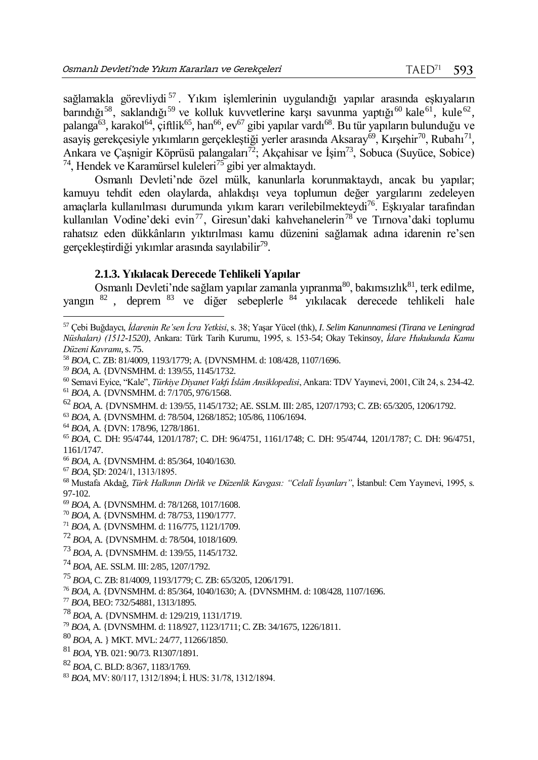sağlamakla görevliydi<sup>57</sup>. Yıkım işlemlerinin uygulandığı yapılar arasında eşkıyaların barındığı<sup>58</sup>, saklandığı<sup>59</sup> ve kolluk kuvvetlerine karşı savunma yaptığı<sup>60</sup> kale<sup>61</sup>, kule<sup>62</sup>, palanga<sup>63</sup>, karakol<sup>64</sup>, çiftlik<sup>65</sup>, han<sup>66</sup>, ev<sup>67</sup> gibi yapılar vardı<sup>68</sup>. Bu tür yapıların bulunduğu ve asayiş gerekçesiyle yıkımların gerçekleştiği yerler arasında Aksaray $^{69}$ , Kırşehir $^{70}$ , Rubahı $^{71}$ , Ankara ve Çaşnigir Köprüsü palangaları<sup>72</sup>; Akçahisar ve İşim<sup>73</sup>, Sobuca (Suyüce, Sobice)  $74$ , Hendek ve Karamürsel kuleleri $75$  gibi yer almaktaydı.

Osmanlı Devleti'nde özel mülk, kanunlarla korunmaktaydı, ancak bu yapılar; kamuyu tehdit eden olaylarda, ahlakdışı veya toplumun değer yargılarını zedeleyen amaçlarla kullanılması durumunda yıkım kararı verilebilmekteydi<sup>76</sup>. Eşkıyalar tarafından kullanılan Vodine'deki evin<sup>77</sup>, Giresun'daki kahvehanelerin<sup>78</sup> ve Tırnova'daki toplumu rahatsız eden dükkânların yıktırılması kamu düzenini sağlamak adına idarenin re'sen gerçekleştirdiği yıkımlar arasında sayılabilir<sup>79</sup>.

#### **2.1.3. Yıkılacak Derecede Tehlikeli Yapılar**

Osmanlı Devleti'nde sağlam yapılar zamanla yıpranma $^{80}$ , bakımsızlık $^{81}$ , terk edilme, yangın <sup>82</sup> , deprem <sup>83</sup> ve diğer sebeplerle <sup>84</sup> yıkılacak derecede tehlikeli hale

<sup>59</sup> *BOA*, A. {DVNSMHM. d: 139/55, 1145/1732.

- <sup>61</sup> *BOA,* A. {DVNSMHM. d: 7/1705, 976/1568.
- <sup>62</sup> *BOA*, A. {DVNSMHM. d: 139/55, 1145/1732; AE. SSLM. III: 2/85, 1207/1793; C. ZB: 65/3205, 1206/1792.
- <sup>63</sup> *BOA*, A. {DVNSMHM. d: 78/504, 1268/1852; 105/86, 1106/1694.
- <sup>64</sup> *BOA*, A. {DVN: 178/96, 1278/1861.

- <sup>66</sup> *BOA*, A. {DVNSMHM. d: 85/364, 1040/1630.
- <sup>67</sup> *BOA*, ŞD: 2024/1, 1313/1895.

 $\overline{a}$ 

<sup>68</sup> Mustafa Akdağ, *Türk Halkının Dirlik ve Düzenlik Kavgası: "Celalî İsyanları"*, İstanbul: Cem Yayınevi, 1995, s. 97-102.

- <sup>69</sup> *BOA*, A. {DVNSMHM. d: 78/1268, 1017/1608.
- <sup>70</sup> *BOA*, A. {DVNSMHM. d: 78/753, 1190/1777.
- <sup>71</sup> *BOA*, A. {DVNSMHM. d: 116/775, 1121/1709.
- <sup>72</sup> *BOA*, A. {DVNSMHM. d: 78/504, 1018/1609.
- <sup>73</sup> *BOA*, A. {DVNSMHM. d: 139/55, 1145/1732.
- <sup>74</sup> *BOA*, AE. SSLM. III: 2/85, 1207/1792.
- <sup>75</sup> *BOA*, C. ZB: 81/4009, 1193/1779; C. ZB: 65/3205, 1206/1791.
- <sup>76</sup> *BOA*, A. {DVNSMHM. d: 85/364, 1040/1630; A. {DVNSMHM. d: 108/428, 1107/1696.
- <sup>77</sup> *BOA*, BEO: 732/54881, 1313/1895.
- <sup>78</sup> *BOA*, A. {DVNSMHM. d: 129/219, 1131/1719.
- <sup>79</sup> *BOA*, A. {DVNSMHM. d: 118/927, 1123/1711; C. ZB: 34/1675, 1226/1811.
- <sup>80</sup> *BOA*, A. } MKT. MVL: 24/77, 11266/1850.
- <sup>81</sup> *BOA*, YB. 021: 90/73. R1307/1891.
- <sup>82</sup> *BOA*, C. BLD: 8/367, 1183/1769.
- <sup>83</sup> *BOA*, MV: 80/117, 1312/1894; İ. HUS: 31/78, 1312/1894.

<sup>57</sup> Çebi Buğdaycı, *İdarenin Re'sen İcra Yetkisi*, s. 38; Yaşar Yücel (thk), *I. Selim Kanunnamesi (Tirana ve Leningrad Nüshaları) (1512-1520)*, Ankara: Türk Tarih Kurumu, 1995, s. 153-54; Okay Tekinsoy, *İdare Hukukunda Kamu Düzeni Kavramı*, s. 75.

<sup>58</sup> *BOA*, C. ZB: 81/4009, 1193/1779; A. {DVNSMHM. d: 108/428, 1107/1696.

<sup>60</sup> Semavi Eyice, "Kale", *Türkiye Diyanet Vakfı İslâm Ansiklopedisi*, Ankara: TDV Yayınevi, 2001, Cilt 24, s. 234-42.

<sup>65</sup> *BOA*, C. DH: 95/4744, 1201/1787; C. DH: 96/4751, 1161/1748; C. DH: 95/4744, 1201/1787; C. DH: 96/4751, 1161/1747.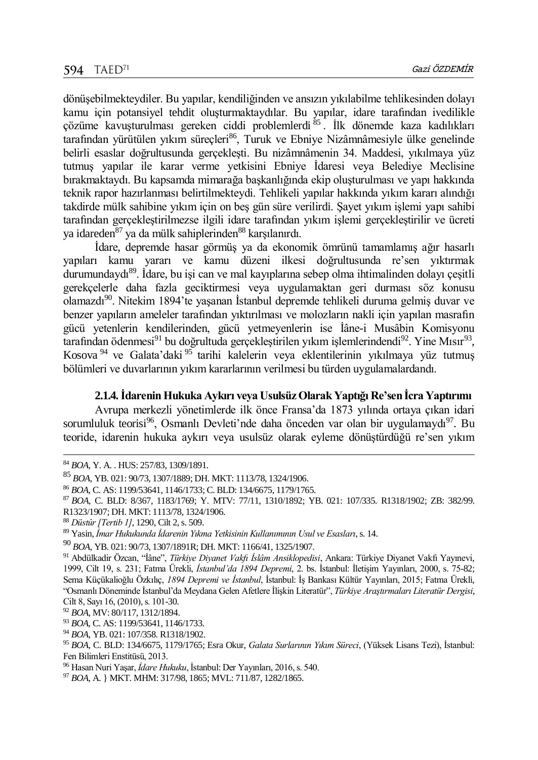dönüşebilmekteydiler. Bu yapılar, kendiliğinden ve ansızın yıkılabilme tehlikesinden dolayı kamu için potansiyel tehdit oluşturmaktaydılar. Bu yapılar, idare tarafından ivedilikle çözüme kavuşturulması gereken ciddi problemlerdi 85. İlk dönemde kaza kadılıkları tarafından yürütülen yıkım süreçleri<sup>86</sup>, Turuk ve Ebniye Nizâmnâmesiyle ülke genelinde belirli esaslar doğrultusunda gerçekleşti. Bu nizâmnâmenin 34. Maddesi, yıkılmaya yüz tutmuş yapılar ile karar verme yetkisini Ebniye İdaresi veya Belediye Meclisine bırakmaktaydı. Bu kapsamda mimarağa başkanlığında ekip oluşturulması ve yapı hakkında teknik rapor hazırlanması belirtilmekteydi. Tehlikeli yapılar hakkında yıkım kararı alındığı takdirde mülk sahibine yıkım için on beş gün süre verilirdi. Şayet yıkım işlemi yapı sahibi tarafından gerçekleştirilmezse ilgili idare tarafından yıkım işlemi gerçekleştirilir ve ücreti ya idareden<sup>87</sup> ya da mülk sahiplerinden<sup>88</sup> karşılanırdı.

İdare, depremde hasar görmüş ya da ekonomik ömrünü tamamlamış ağır hasarlı yapıları kamu yararı ve kamu düzeni ilkesi doğrultusunda re'sen yıktırmak durumundaydı<sup>89</sup>. İdare, bu isi can ve mal kayıplarına sebep olma ihtimalinden dolayı çesitli gerekçelerle daha fazla geciktirmesi veya uygulamaktan geri durması söz konusu olamazdı<sup>90</sup>. Nitekim 1894'te yaşanan İstanbul depremde tehlikeli duruma gelmiş duvar ve benzer yapıların ameleler tarafından yıktırılması ve molozların nakli için yapılan masrafın gücü yetenlerin kendilerinden, gücü yetmeyenlerin ise İâne-i Musâbin Komisyonu tarafından ödenmesi<sup>91</sup> bu doğrultuda gerçekleştirilen yıkım işlemlerindendi<sup>92</sup>. Yine Mısır<sup>93</sup>, Kosova <sup>94</sup> ve Galata'daki <sup>95</sup> tarihi kalelerin veya eklentilerinin yıkılmaya yüz tutmuş bölümleri ve duvarlarının yıkım kararlarının verilmesi bu türden uygulamalardandı.

## **2.1.4. İdarenin Hukuka Aykırı veya Usulsüz Olarak Yaptığı Re'sen İcra Yaptırımı**

Avrupa merkezli yönetimlerde ilk önce Fransa'da 1873 yılında ortaya çıkan idari sorumluluk teorisi<sup>96</sup>, Osmanlı Devleti'nde daha önceden var olan bir uygulamaydı<sup>97</sup>. Bu teoride, idarenin hukuka aykırı veya usulsüz olarak eyleme dönüştürdüğü re'sen yıkım

l

<sup>84</sup> *BOA*, Y. A. . HUS: 257/83, 1309/1891.

<sup>85</sup> *BOA*, YB. 021: 90/73, 1307/1889; DH. MKT: 1113/78, 1324/1906.

<sup>86</sup> *BOA*, C. AS: 1199/53641, 1146/1733; C. BLD: 134/6675, 1179/1765.

<sup>87</sup> *BOA*, C. BLD: 8/367, 1183/1769; Y. MTV: 77/11, 1310/1892; YB. 021: 107/335. R1318/1902; ZB: 382/99.

R1323/1907; DH. MKT: 1113/78, 1324/1906.

<sup>88</sup> *Düstûr [Tertib 1]*, 1290, Cilt 2, s. 509.

<sup>89</sup> Yasin, *İmar Hukukunda İdarenin Yıkma Yetkisinin Kullanımının Usul ve Esasları*, s. 14.

<sup>90</sup> *BOA*, YB. 021: 90/73, 1307/1891R; DH. MKT: 1166/41, 1325/1907.

<sup>91</sup> Abdülkadir Özcan, "İâne", *Türkiye Diyanet Vakfı İslâm Ansiklopedisi*, Ankara: Türkiye Diyanet Vakfı Yayınevi, 1999, Cilt 19, s. 231; Fatma Ürekli, *İstanbul'da 1894 Depremi*, 2. bs. İstanbul: İletişim Yayınları, 2000, s. 75-82; Sema Küçükalioğlu Özkılıç, *1894 Depremi ve İstanbul*, İstanbul: İş Bankası Kültür Yayınları, 2015; Fatma Üreklı̇, "Osmanlı Döneminde İstanbul'da Meydana Gelen Afetlere İlişkin Literatür", *Türkiye Araştırmaları Literatür Dergisi*, Cilt 8, Sayı 16, (2010), s. 101-30.

<sup>92</sup> *BOA*, MV: 80/117, 1312/1894.

<sup>93</sup> *BOA*, C. AS: 1199/53641, 1146/1733.

<sup>94</sup> *BOA*, YB. 021: 107/358. R1318/1902.

<sup>95</sup> *BOA*, C. BLD: 134/6675, 1179/1765; Esra Okur, *Galata Surlarının Yıkım Süreci*, (Yüksek Lisans Tezi), İstanbul: Fen Bilimleri Enstitüsü, 2013.

<sup>96</sup> Hasan Nuri Yaşar, *İdare Hukuku*, İstanbul: Der Yayınları, 2016, s. 540.

<sup>97</sup> *BOA*, A. } MKT. MHM: 317/98, 1865; MVL: 711/87, 1282/1865.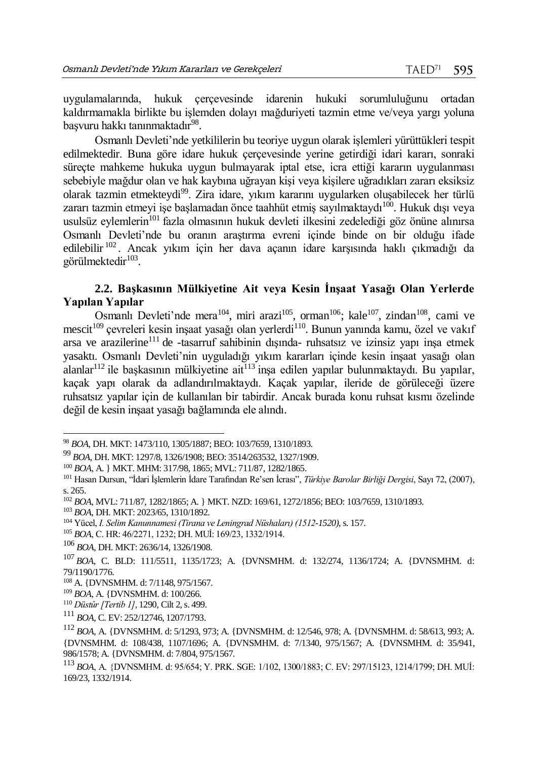uygulamalarında, hukuk çerçevesinde idarenin hukuki sorumluluğunu ortadan kaldırmamakla birlikte bu işlemden dolayı mağduriyeti tazmin etme ve/veya yargı yoluna başvuru hakkı tanınmaktadır<sup>98</sup>.

Osmanlı Devleti'nde yetkililerin bu teoriye uygun olarak işlemleri yürüttükleri tespit edilmektedir. Buna göre idare hukuk çerçevesinde yerine getirdiği idari kararı, sonraki süreçte mahkeme hukuka uygun bulmayarak iptal etse, icra ettiği kararın uygulanması sebebiyle mağdur olan ve hak kaybına uğrayan kişi veya kişilere uğradıkları zararı eksiksiz olarak tazmin etmekteydi<sup>99</sup>. Zira idare, yıkım kararını uygularken oluşabilecek her türlü zararı tazmin etmeyi işe başlamadan önce taahhüt etmiş sayılmaktaydı $^{100}$ . Hukuk dışı veya usulsüz eylemlerin<sup>101</sup> fazla olmasının hukuk devleti ilkesini zedelediği göz önüne alınırsa Osmanlı Devleti'nde bu oranın araştırma evreni içinde binde on bir olduğu ifade edilebilir <sup>102</sup> . Ancak yıkım için her dava açanın idare karşısında haklı çıkmadığı da görülmektedir<sup>103</sup>.

## **2.2. Başkasının Mülkiyetine Ait veya Kesin İnşaat Yasağı Olan Yerlerde Yapılan Yapılar**

Osmanlı Devleti'nde mera<sup>104</sup>, miri arazi<sup>105</sup>, orman<sup>106</sup>; kale<sup>107</sup>, zindan<sup>108</sup>, cami ve mescit<sup>109</sup> çevreleri kesin inşaat yasağı olan yerlerdi<sup>110</sup>. Bunun yanında kamu, özel ve vakıf arsa ve arazilerine<sup>111</sup> de -tasarruf sahibinin dışında- ruhsatsız ve izinsiz yapı inşa etmek yasaktı. Osmanlı Devleti'nin uyguladığı yıkım kararları içinde kesin inşaat yasağı olan alanlar<sup>112</sup> ile başkasının mülkiyetine ait<sup>113</sup> insa edilen yapılar bulunmaktaydı. Bu yapılar, kaçak yapı olarak da adlandırılmaktaydı. Kaçak yapılar, ileride de görüleceği üzere ruhsatsız yapılar için de kullanılan bir tabirdir. Ancak burada konu ruhsat kısmı özelinde değil de kesin inşaat yasağı bağlamında ele alındı.

<sup>98</sup> *BOA*, DH. MKT: 1473/110, 1305/1887; BEO: 103/7659, 1310/1893.

<sup>99</sup> *BOA*, DH. MKT: 1297/8, 1326/1908; BEO: 3514/263532, 1327/1909.

<sup>100</sup> *BOA*, A. } MKT. MHM: 317/98, 1865; MVL: 711/87, 1282/1865.

<sup>101</sup> Hasan Dursun, "İdari İşlemlerin İdare Tarafından Re'sen İcrası", *Türkiye Barolar Birliği Dergisi*, Sayı 72, (2007), s. 265.

<sup>102</sup> *BOA*, MVL: 711/87, 1282/1865; A. } MKT. NZD: 169/61, 1272/1856; BEO: 103/7659, 1310/1893.

<sup>103</sup> *BOA*, DH. MKT: 2023/65, 1310/1892.

<sup>104</sup> Yücel, *I. Selim Kanunnamesi (Tirana ve Leningrad Nüshaları) (1512-1520)*, s. 157.

<sup>105</sup> *BOA*, C. HR: 46/2271, 1232; DH. MUİ: 169/23, 1332/1914.

<sup>106</sup> *BOA*, DH. MKT: 2636/14, 1326/1908.

<sup>107</sup> *BOA*, C. BLD: 111/5511, 1135/1723; A. {DVNSMHM. d: 132/274, 1136/1724; A. {DVNSMHM. d: 79/1190/1776.

<sup>108</sup> A. {DVNSMHM. d: 7/1148, 975/1567.

<sup>109</sup> *BOA*, A. {DVNSMHM. d: 100/266.

<sup>110</sup> *Düstûr [Tertib 1]*, 1290, Cilt 2, s. 499.

<sup>111</sup> *BOA*, C. EV: 252/12746, 1207/1793.

<sup>112</sup> *BOA*, A. {DVNSMHM. d: 5/1293, 973; A. {DVNSMHM. d: 12/546, 978; A. {DVNSMHM. d: 58/613, 993; A. {DVNSMHM. d: 108/438, 1107/1696; A. {DVNSMHM. d: 7/1340, 975/1567; A. {DVNSMHM. d: 35/941, 986/1578; A. {DVNSMHM. d: 7/804, 975/1567.

<sup>113</sup> *BOA*, A. {DVNSMHM. d: 95/654; Y. PRK. SGE: 1/102, 1300/1883; C. EV: 297/15123, 1214/1799; DH. MUİ: 169/23, 1332/1914.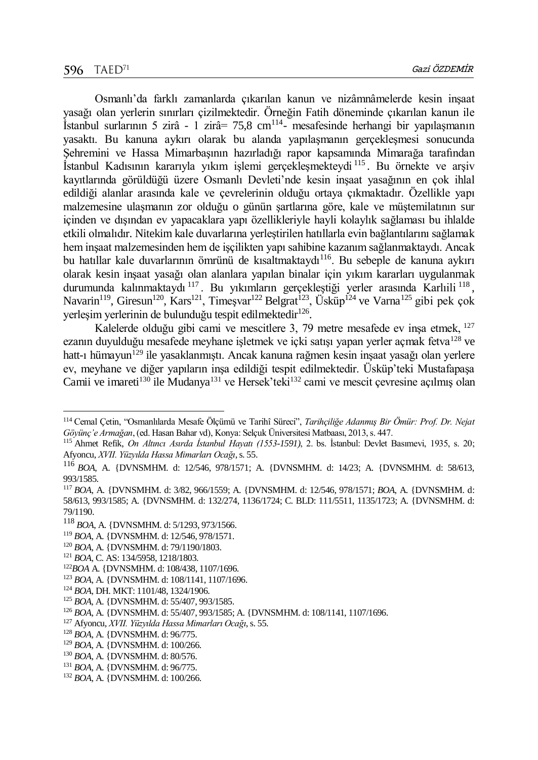Osmanlı'da farklı zamanlarda çıkarılan kanun ve nizâmnâmelerde kesin inşaat yasağı olan yerlerin sınırları çizilmektedir. Örneğin Fatih döneminde çıkarılan kanun ile İstanbul surlarının 5 zirâ - 1 zirâ = 75,8 cm<sup>114</sup> - mesafesinde herhangi bir yapılaşmanın yasaktı. Bu kanuna aykırı olarak bu alanda yapılaşmanın gerçekleşmesi sonucunda Şehremini ve Hassa Mimarbaşının hazırladığı rapor kapsamında Mimarağa tarafından İstanbul Kadısının kararıyla yıkım işlemi gerçekleşmekteydi<sup>115</sup>. Bu örnekte ve arşiv kayıtlarında görüldüğü üzere Osmanlı Devleti'nde kesin inşaat yasağının en çok ihlal edildiği alanlar arasında kale ve çevrelerinin olduğu ortaya çıkmaktadır. Özellikle yapı malzemesine ulaşmanın zor olduğu o günün şartlarına göre, kale ve müştemilatının sur içinden ve dışından ev yapacaklara yapı özellikleriyle hayli kolaylık sağlaması bu ihlalde etkili olmalıdır. Nitekim kale duvarlarına yerleştirilen hatıllarla evin bağlantılarını sağlamak hem inşaat malzemesinden hem de işçilikten yapı sahibine kazanım sağlanmaktaydı. Ancak bu hatıllar kale duvarlarının ömrünü de kısaltmaktaydı<sup>116</sup>. Bu sebeple de kanuna aykırı olarak kesin inşaat yasağı olan alanlara yapılan binalar için yıkım kararları uygulanmak durumunda kalınmaktaydı<sup>117</sup>. Bu yıkımların gerçekleştiği yerler arasında Karlıili<sup>118</sup>, Navarin<sup>119</sup>, Giresun<sup>120</sup>, Kars<sup>121</sup>, Timesvar<sup>122</sup> Belgrat<sup>123</sup>, Üsküp<sup>124</sup> ve Varna<sup>125</sup> gibi pek çok yerleşim yerlerinin de bulunduğu tespit edilmektedir<sup>126</sup>.

Kalelerde olduğu gibi cami ve mescitlere 3, 79 metre mesafede ev inşa etmek, <sup>127</sup> ezanın duyulduğu mesafede meyhane işletmek ve içki satışı yapan yerler açmak fetva<sup>128</sup> ve hatt-ı hümayun<sup>129</sup> ile yasaklanmıştı. Ancak kanuna rağmen kesin inşaat yasağı olan yerlere ev, meyhane ve diğer yapıların inşa edildiği tespit edilmektedir. Üsküp'teki Mustafapaşa Camii ve imareti<sup>130</sup> ile Mudanya<sup>131</sup> ve Hersek'teki<sup>132</sup> cami ve mescit çevresine açılmış olan

- <sup>119</sup> *BOA*, A. {DVNSMHM. d: 12/546, 978/1571.
- <sup>120</sup> *BOA*, A. {DVNSMHM. d: 79/1190/1803.
- <sup>121</sup> *BOA*, C. AS: 134/5958, 1218/1803.

- <sup>122</sup>*BOA* A. {DVNSMHM. d: 108/438, 1107/1696.
- <sup>123</sup> *BOA*, A. {DVNSMHM. d: 108/1141, 1107/1696.
- <sup>124</sup> *BOA*, DH. MKT: 1101/48, 1324/1906.
- <sup>125</sup> *BOA,* A. {DVNSMHM. d: 55/407, 993/1585.

- <sup>128</sup> *BOA*, A. {DVNSMHM. d: 96/775.
- <sup>129</sup> *BOA*, A. {DVNSMHM. d: 100/266.
- <sup>130</sup> *BOA*, A. {DVNSMHM. d: 80/576.
- <sup>131</sup> *BOA*, A. {DVNSMHM. d: 96/775.

<sup>114</sup> Cemal Çetin, "Osmanlılarda Mesafe Ölçümü ve Tarihî Süreci", *Tarihçiliğe Adanmış Bir Ömür: Prof. Dr. Nejat Göyünç'e Armağan*, (ed. Hasan Bahar vd), Konya: Selçuk Üniversitesi Matbaası, 2013, s. 447.

<sup>115</sup> Ahmet Refik, *On Altıncı Asırda İstanbul Hayatı (1553-1591)*, 2. bs. İstanbul: Devlet Basımevi, 1935, s. 20; Afyoncu, *XVII. Yüzyılda Hassa Mimarları Ocağı*, s. 55.

<sup>116</sup> *BOA*, A. {DVNSMHM. d: 12/546, 978/1571; A. {DVNSMHM. d: 14/23; A. {DVNSMHM. d: 58/613, 993/1585.

<sup>117</sup> *BOA*, A. {DVNSMHM. d: 3/82, 966/1559; A. {DVNSMHM. d: 12/546, 978/1571; *BOA*, A. {DVNSMHM. d: 58/613, 993/1585; A. {DVNSMHM. d: 132/274, 1136/1724; C. BLD: 111/5511, 1135/1723; A. {DVNSMHM. d: 79/1190.

<sup>118</sup> *BOA*, A. {DVNSMHM. d: 5/1293, 973/1566.

<sup>126</sup> *BOA*, A. {DVNSMHM. d: 55/407, 993/1585; A. {DVNSMHM. d: 108/1141, 1107/1696.

<sup>127</sup> Afyoncu, *XVII. Yüzyılda Hassa Mimarları Ocağı*, s. 55.

<sup>132</sup> *BOA*, A. {DVNSMHM. d: 100/266.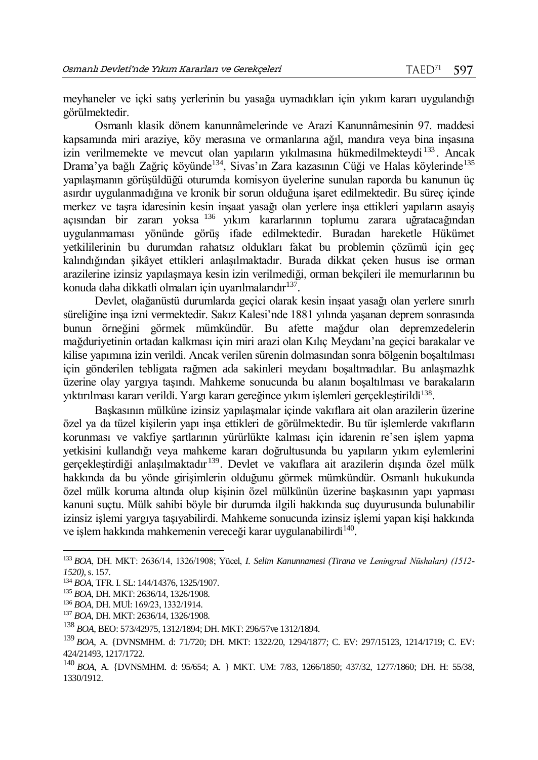meyhaneler ve içki satış yerlerinin bu yasağa uymadıkları için yıkım kararı uygulandığı görülmektedir.

Osmanlı klasik dönem kanunnâmelerinde ve Arazi Kanunnâmesinin 97. maddesi kapsamında miri araziye, köy merasına ve ormanlarına ağıl, mandıra veya bina inşasına izin verilmemekte ve mevcut olan yapıların yıkılmasına hükmedilmekteydi <sup>133</sup> . Ancak Drama'ya bağlı Zağriç köyünde<sup>134</sup>, Sivas'ın Zara kazasının Cüği ve Halas köylerinde<sup>135</sup> yapılaşmanın görüşüldüğü oturumda komisyon üyelerine sunulan raporda bu kanunun üç asırdır uygulanmadığına ve kronik bir sorun olduğuna işaret edilmektedir. Bu süreç içinde merkez ve taşra idaresinin kesin inşaat yasağı olan yerlere inşa ettikleri yapıların asayiş açısından bir zararı yoksa <sup>136</sup> yıkım kararlarının toplumu zarara uğratacağından uygulanmaması yönünde görüş ifade edilmektedir. Buradan hareketle Hükümet yetkililerinin bu durumdan rahatsız oldukları fakat bu problemin çözümü için geç kalındığından şikâyet ettikleri anlaşılmaktadır. Burada dikkat çeken husus ise orman arazilerine izinsiz yapılaşmaya kesin izin verilmediği, orman bekçileri ile memurlarının bu konuda daha dikkatli olmaları için uyarılmalarıdır<sup>137</sup>.

Devlet, olağanüstü durumlarda geçici olarak kesin inşaat yasağı olan yerlere sınırlı süreliğine inşa izni vermektedir. Sakız Kalesi'nde 1881 yılında yaşanan deprem sonrasında bunun örneğini görmek mümkündür. Bu afette mağdur olan depremzedelerin mağduriyetinin ortadan kalkması için miri arazi olan Kılıç Meydanı'na geçici barakalar ve kilise yapımına izin verildi. Ancak verilen sürenin dolmasından sonra bölgenin boşaltılması için gönderilen tebligata rağmen ada sakinleri meydanı boşaltmadılar. Bu anlaşmazlık üzerine olay yargıya taşındı. Mahkeme sonucunda bu alanın boşaltılması ve barakaların yıktırılması kararı verildi. Yargı kararı gereğince yıkım işlemleri gerçekleştirildi<sup>138</sup>.

Başkasının mülküne izinsiz yapılaşmalar içinde vakıflara ait olan arazilerin üzerine özel ya da tüzel kişilerin yapı inşa ettikleri de görülmektedir. Bu tür işlemlerde vakıfların korunması ve vakfiye şartlarının yürürlükte kalması için idarenin re'sen işlem yapma yetkisini kullandığı veya mahkeme kararı doğrultusunda bu yapıların yıkım eylemlerini gerçekleştirdiği anlaşılmaktadır <sup>139</sup>. Devlet ve vakıflara ait arazilerin dışında özel mülk hakkında da bu yönde girişimlerin olduğunu görmek mümkündür. Osmanlı hukukunda özel mülk koruma altında olup kişinin özel mülkünün üzerine başkasının yapı yapması kanuni suçtu. Mülk sahibi böyle bir durumda ilgili hakkında suç duyurusunda bulunabilir izinsiz işlemi yargıya taşıyabilirdi. Mahkeme sonucunda izinsiz işlemi yapan kişi hakkında ve işlem hakkında mahkemenin vereceği karar uygulanabilirdi<sup>140</sup>.

<sup>133</sup> *BOA*, DH. MKT: 2636/14, 1326/1908; Yücel, *I. Selim Kanunnamesi (Tirana ve Leningrad Nüshaları) (1512- 1520)*, s. 157.

<sup>134</sup> *BOA*, TFR. I. SL: 144/14376, 1325/1907.

<sup>135</sup> *BOA*, DH. MKT: 2636/14, 1326/1908.

<sup>136</sup> *BOA*, DH. MUİ: 169/23, 1332/1914.

<sup>137</sup> *BOA*, DH. MKT: 2636/14, 1326/1908.

<sup>138</sup> *BOA*, BEO: 573/42975, 1312/1894; DH. MKT: 296/57ve 1312/1894.

<sup>139</sup> *BOA*, A. {DVNSMHM. d: 71/720; DH. MKT: 1322/20, 1294/1877; C. EV: 297/15123, 1214/1719; C. EV: 424/21493, 1217/1722.

<sup>140</sup> *BOA*, A. {DVNSMHM. d: 95/654; A. } MKT. UM: 7/83, 1266/1850; 437/32, 1277/1860; DH. H: 55/38, 1330/1912.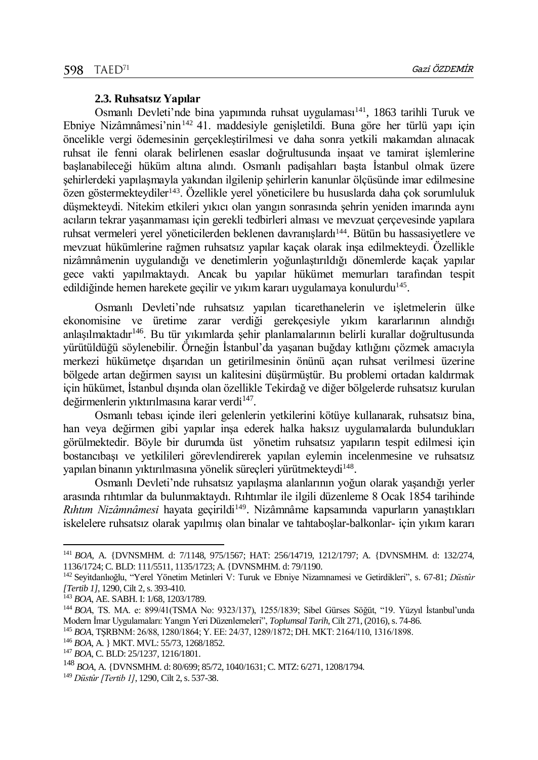#### **2.3. Ruhsatsız Yapılar**

Osmanlı Devleti'nde bina yapımında ruhsat uygulaması<sup>141</sup>, 1863 tarihli Turuk ve Ebniye Nizâmnâmesi'nin<sup>142</sup> 41. maddesiyle genişletildi. Buna göre her türlü yapı için öncelikle vergi ödemesinin gerçekleştirilmesi ve daha sonra yetkili makamdan alınacak ruhsat ile fenni olarak belirlenen esaslar doğrultusunda inşaat ve tamirat işlemlerine başlanabileceği hüküm altına alındı. Osmanlı padişahları başta İstanbul olmak üzere şehirlerdeki yapılaşmayla yakından ilgilenip şehirlerin kanunlar ölçüsünde imar edilmesine özen göstermekteydiler<sup>143</sup>. Özellikle yerel yöneticilere bu hususlarda daha çok sorumluluk düşmekteydi. Nitekim etkileri yıkıcı olan yangın sonrasında şehrin yeniden imarında aynı acıların tekrar yaşanmaması için gerekli tedbirleri alması ve mevzuat çerçevesinde yapılara ruhsat vermeleri yerel yöneticilerden beklenen davranışlardı<sup>144</sup>. Bütün bu hassasiyetlere ve mevzuat hükümlerine rağmen ruhsatsız yapılar kaçak olarak inşa edilmekteydi. Özellikle nizâmnâmenin uygulandığı ve denetimlerin yoğunlaştırıldığı dönemlerde kaçak yapılar gece vakti yapılmaktaydı. Ancak bu yapılar hükümet memurları tarafından tespit edildiğinde hemen harekete geçilir ve yıkım kararı uygulamaya konulurdu<sup>145</sup>.

Osmanlı Devleti'nde ruhsatsız yapılan ticarethanelerin ve işletmelerin ülke ekonomisine ve üretime zarar verdiği gerekçesiyle yıkım kararlarının alındığı anlaşılmaktadır<sup>146</sup>. Bu tür yıkımlarda şehir planlamalarının belirli kurallar doğrultusunda yürütüldüğü söylenebilir. Örneğin İstanbul'da yaşanan buğday kıtlığını çözmek amacıyla merkezi hükümetçe dışarıdan un getirilmesinin önünü açan ruhsat verilmesi üzerine bölgede artan değirmen sayısı un kalitesini düşürmüştür. Bu problemi ortadan kaldırmak için hükümet, İstanbul dışında olan özellikle Tekirdağ ve diğer bölgelerde ruhsatsız kurulan değirmenlerin yıktırılmasına karar verdi<sup>147</sup>.

Osmanlı tebası içinde ileri gelenlerin yetkilerini kötüye kullanarak, ruhsatsız bina, han veya değirmen gibi yapılar inşa ederek halka haksız uygulamalarda bulundukları görülmektedir. Böyle bir durumda üst yönetim ruhsatsız yapıların tespit edilmesi için bostancıbaşı ve yetkilileri görevlendirerek yapılan eylemin incelenmesine ve ruhsatsız yapılan binanın yıktırılmasına yönelik süreçleri yürütmekteydi<sup>148</sup>.

Osmanlı Devleti'nde ruhsatsız yapılaşma alanlarının yoğun olarak yaşandığı yerler arasında rıhtımlar da bulunmaktaydı. Rıhtımlar ile ilgili düzenleme 8 Ocak 1854 tarihinde Rıhtım Nizâmnâmesi hayata geçirildi<sup>149</sup>. Nizâmnâme kapsamında vapurların yanaştıkları iskelelere ruhsatsız olarak yapılmış olan binalar ve tahtaboşlar-balkonlar- için yıkım kararı

l

<sup>141</sup> *BOA*, A. {DVNSMHM. d: 7/1148, 975/1567; HAT: 256/14719, 1212/1797; A. {DVNSMHM. d: 132/274, 1136/1724; C. BLD: 111/5511, 1135/1723; A. {DVNSMHM. d: 79/1190.

<sup>142</sup> Seyı̇tdanlıoğlu, "Yerel Yönetim Metinleri V: Turuk ve Ebniye Nizamnamesi ve Getirdikleri", s. 67-81; *Düstûr [Tertib 1]*, 1290, Cilt 2, s. 393-410.

<sup>143</sup> *BOA*, AE. SABH. I: 1/68, 1203/1789.

<sup>144</sup> *BOA*, TS. MA. e: 899/41(TSMA No: 9323/137), 1255/1839; Sibel Gürses Söğüt, "19. Yüzyıl İstanbul'unda Modern İmar Uygulamaları: Yangın Yeri Düzenlemeleri", *Toplumsal Tarih*, Cilt 271, (2016), s. 74-86.

<sup>145</sup> *BOA*, TŞRBNM: 26/88, 1280/1864; Y. EE: 24/37, 1289/1872; DH. MKT: 2164/110, 1316/1898.

<sup>146</sup> *BOA*, A. } MKT. MVL: 55/73, 1268/1852.

<sup>147</sup> *BOA*, C. BLD: 25/1237, 1216/1801.

<sup>148</sup> *BOA*, A. {DVNSMHM. d: 80/699; 85/72, 1040/1631; C. MTZ: 6/271, 1208/1794.

<sup>149</sup> *Düstûr [Tertib 1]*, 1290, Cilt 2, s. 537-38.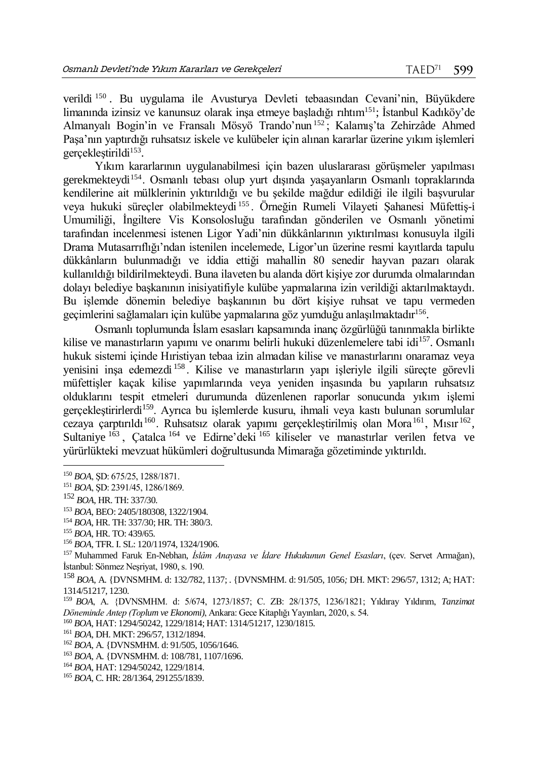verildi <sup>150</sup> . Bu uygulama ile Avusturya Devleti tebaasından Cevani'nin, Büyükdere limanında izinsiz ve kanunsuz olarak inşa etmeye başladığı rıhtım<sup>151</sup>; İstanbul Kadıköy'de Almanyalı Bogin'in ve Fransalı Mösyö Trando'nun <sup>152</sup> ; Kalamış'ta Zehirzâde Ahmed Paşa'nın yaptırdığı ruhsatsız iskele ve kulübeler için alınan kararlar üzerine yıkım işlemleri gerçekleştirildi<sup>153</sup>.

Yıkım kararlarının uygulanabilmesi için bazen uluslararası görüşmeler yapılması gerekmekteydi<sup>154</sup>. Osmanlı tebası olup yurt dışında yaşayanların Osmanlı topraklarında kendilerine ait mülklerinin yıktırıldığı ve bu şekilde mağdur edildiği ile ilgili başvurular veya hukuki süreçler olabilmekteydi <sup>155</sup> . Örneğin Rumeli Vilayeti Şahanesi Müfettiş-i Umumiliği, İngiltere Vis Konsolosluğu tarafından gönderilen ve Osmanlı yönetimi tarafından incelenmesi istenen Ligor Yadi'nin dükkânlarının yıktırılması konusuyla ilgili Drama Mutasarrıflığı'ndan istenilen incelemede, Ligor'un üzerine resmi kayıtlarda tapulu dükkânların bulunmadığı ve iddia ettiği mahallin 80 senedir hayvan pazarı olarak kullanıldığı bildirilmekteydi. Buna ilaveten bu alanda dört kişiye zor durumda olmalarından dolayı belediye başkanının inisiyatifiyle kulübe yapmalarına izin verildiği aktarılmaktaydı. Bu işlemde dönemin belediye başkanının bu dört kişiye ruhsat ve tapu vermeden geçimlerini sağlamaları için kulübe yapmalarına göz yumduğu anlaşılmaktadır<sup>156</sup> .

Osmanlı toplumunda İslam esasları kapsamında inanç özgürlüğü tanınmakla birlikte kilise ve manastırların yapımı ve onarımı belirli hukuki düzenlemelere tabi idi<sup>157</sup>. Osmanlı hukuk sistemi içinde Hıristiyan tebaa izin almadan kilise ve manastırlarını onaramaz veya yenisini inşa edemezdi <sup>158</sup> . Kilise ve manastırların yapı işleriyle ilgili süreçte görevli müfettişler kaçak kilise yapımlarında veya yeniden inşasında bu yapıların ruhsatsız olduklarını tespit etmeleri durumunda düzenlenen raporlar sonucunda yıkım işlemi gerçekleştirirlerdi<sup>159</sup>. Ayrıca bu işlemlerde kusuru, ihmali veya kastı bulunan sorumlular cezaya çarptırıldı<sup>160</sup>. Ruhsatsız olarak yapımı gerçekleştirilmiş olan Mora<sup>161</sup>, Mısır<sup>162</sup>, Sultaniye <sup>163</sup>, Çatalca <sup>164</sup> ve Edirne'deki <sup>165</sup> kiliseler ve manastırlar verilen fetva ve yürürlükteki mevzuat hükümleri doğrultusunda Mimarağa gözetiminde yıktırıldı.

<sup>150</sup> *BOA*, ŞD: 675/25, 1288/1871.

<sup>151</sup> *BOA*, ŞD: 2391/45, 1286/1869.

<sup>152</sup> *BOA*, HR. TH: 337/30.

<sup>153</sup> *BOA*, BEO: 2405/180308, 1322/1904.

<sup>154</sup> *BOA*, HR. TH: 337/30; HR. TH: 380/3.

<sup>155</sup> *BOA*, HR. TO: 439/65.

<sup>156</sup> *BOA*, TFR. I. SL: 120/11974, 1324/1906.

<sup>157</sup> Muhammed Faruk En-Nebhan, *İslâm Anayasa ve İdare Hukukunun Genel Esasları*, (çev. Servet Armağan), İstanbul: Sönmez Neşriyat, 1980, s. 190.

<sup>158</sup> *BOA*, A. {DVNSMHM. d: 132/782, 1137; . {DVNSMHM. d: 91/505, 1056*;* DH. MKT: 296/57, 1312; A; HAT: 1314/51217, 1230.

<sup>159</sup> *BOA*, A. {DVNSMHM. d: 5/674, 1273/1857; C. ZB: 28/1375, 1236/1821; Yıldıray Yıldırım, *Tanzimat Döneminde Antep (Toplum ve Ekonomi)*, Ankara: Gece Kitaplığı Yayınları, 2020, s. 54.

<sup>160</sup> *BOA*, HAT: 1294/50242, 1229/1814; HAT: 1314/51217, 1230/1815.

<sup>161</sup> *BOA*, DH. MKT: 296/57, 1312/1894.

<sup>162</sup> *BOA*, A. {DVNSMHM. d: 91/505, 1056/1646.

<sup>163</sup> *BOA*, A. {DVNSMHM. d: 108/781, 1107/1696.

<sup>164</sup> *BOA*, HAT: 1294/50242, 1229/1814.

<sup>165</sup> *BOA*, C. HR: 28/1364, 291255/1839.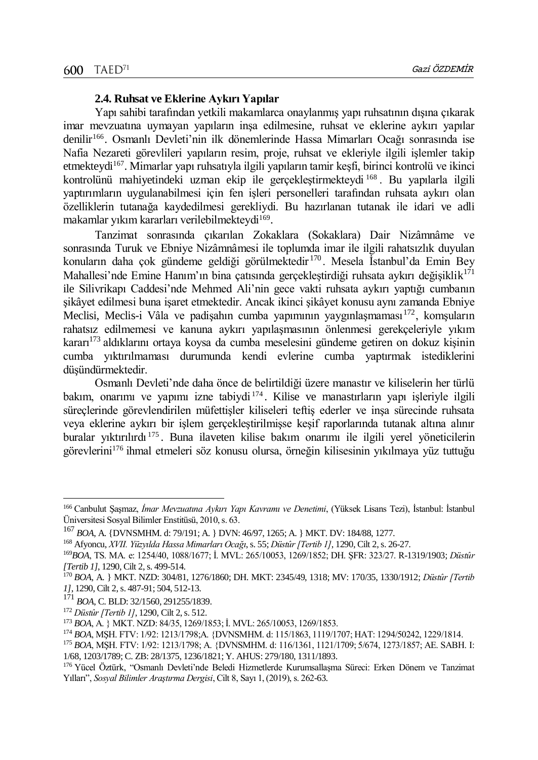#### **2.4. Ruhsat ve Eklerine Aykırı Yapılar**

Yapı sahibi tarafından yetkili makamlarca onaylanmış yapı ruhsatının dışına çıkarak imar mevzuatına uymayan yapıların inşa edilmesine, ruhsat ve eklerine aykırı yapılar denilir<sup>166</sup>. Osmanlı Devleti'nin ilk dönemlerinde Hassa Mimarları Ocağı sonrasında ise Nafia Nezareti görevlileri yapıların resim, proje, ruhsat ve ekleriyle ilgili işlemler takip etmekteydi<sup>167</sup>. Mimarlar yapı ruhsatıyla ilgili yapıların tamir keşfi, birinci kontrolü ve ikinci kontrolünü mahiyetindeki uzman ekip ile gerçekleştirmekteydi <sup>168</sup> . Bu yapılarla ilgili yaptırımların uygulanabilmesi için fen işleri personelleri tarafından ruhsata aykırı olan özelliklerin tutanağa kaydedilmesi gerekliydi. Bu hazırlanan tutanak ile idari ve adli makamlar yıkım kararları verilebilmekteydi<sup>169</sup>.

Tanzimat sonrasında çıkarılan Zokaklara (Sokaklara) Dair Nizâmnâme ve sonrasında Turuk ve Ebniye Nizâmnâmesi ile toplumda imar ile ilgili rahatsızlık duyulan konuların daha çok gündeme geldiği görülmektedir <sup>170</sup> . Mesela İstanbul'da Emin Bey Mahallesi'nde Emine Hanım'ın bina çatısında gerçekleştirdiği ruhsata aykırı değişiklik<sup>171</sup> ile Silivrikapı Caddesi'nde Mehmed Ali'nin gece vakti ruhsata aykırı yaptığı cumbanın şikâyet edilmesi buna işaret etmektedir. Ancak ikinci şikâyet konusu aynı zamanda Ebniye Meclisi, Meclis-i Vâla ve padisahın cumba yapımının yaygınlaşmaması $172$ , komsuların rahatsız edilmemesi ve kanuna aykırı yapılaşmasının önlenmesi gerekçeleriyle yıkım kararı<sup>173</sup> aldıklarını ortaya koysa da cumba meselesini gündeme getiren on dokuz kişinin cumba yıktırılmaması durumunda kendi evlerine cumba yaptırmak istediklerini düşündürmektedir.

Osmanlı Devleti'nde daha önce de belirtildiği üzere manastır ve kiliselerin her türlü bakım, onarımı ve yapımı izne tabiydi <sup>174</sup> . Kilise ve manastırların yapı işleriyle ilgili süreçlerinde görevlendirilen müfettişler kiliseleri teftiş ederler ve inşa sürecinde ruhsata veya eklerine aykırı bir işlem gerçekleştirilmişse keşif raporlarında tutanak altına alınır buralar yıktırılırdı <sup>175</sup> . Buna ilaveten kilise bakım onarımı ile ilgili yerel yöneticilerin görevlerini<sup>176</sup> ihmal etmeleri söz konusu olursa, örneğin kilisesinin yıkılmaya yüz tuttuğu

<sup>166</sup> Canbulut Şaşmaz, *İmar Mevzuatına Aykırı Yapı Kavramı ve Denetimi*, (Yüksek Lisans Tezi), İstanbul: İstanbul Üniversitesi Sosyal Bilimler Enstitüsü, 2010, s. 63.

<sup>167</sup> *BOA*, A. {DVNSMHM. d: 79/191; A. } DVN: 46/97, 1265; A. } MKT. DV: 184/88, 1277.

<sup>168</sup> Afyoncu, *XVII. Yüzyılda Hassa Mimarları Ocağı*, s. 55; *Düstûr [Tertib 1]*, 1290, Cilt 2, s. 26-27.

<sup>169</sup>*BOA*, TS. MA. e: 1254/40, 1088/1677; İ. MVL: 265/10053, 1269/1852; DH. ŞFR: 323/27. R-1319/1903; *Düstûr [Tertib 1]*, 1290, Cilt 2, s. 499-514.

<sup>170</sup> *BOA*, A. } MKT. NZD: 304/81, 1276/1860; DH. MKT: 2345/49, 1318; MV: 170/35, 1330/1912; *Düstûr [Tertib 1]*, 1290, Cilt 2, s. 487-91; 504, 512-13.

<sup>171</sup> *BOA*, C. BLD: 32/1560, 291255/1839.

<sup>172</sup> *Düstûr [Tertib 1]*, 1290, Cilt 2, s. 512.

<sup>173</sup> *BOA*, A. } MKT. NZD: 84/35, 1269/1853; İ. MVL: 265/10053, 1269/1853.

<sup>174</sup> *BOA*, MŞH. FTV: 1/92: 1213/1798;A. {DVNSMHM. d: 115/1863, 1119/1707; HAT: 1294/50242, 1229/1814.

<sup>175</sup> *BOA*, MŞH. FTV: 1/92: 1213/1798; A. {DVNSMHM. d: 116/1361, 1121/1709; 5/674, 1273/1857; AE. SABH. I: 1/68, 1203/1789; C. ZB: 28/1375, 1236/1821; Y. AHUS: 279/180, 1311/1893.

<sup>176</sup> Yücel Öztürk, "Osmanlı Devleti'nde Beledi Hizmetlerde Kurumsallaşma Süreci: Erken Dönem ve Tanzimat Yılları", *Sosyal Bilimler Araştırma Dergisi*, Cilt 8, Sayı 1, (2019), s. 262-63.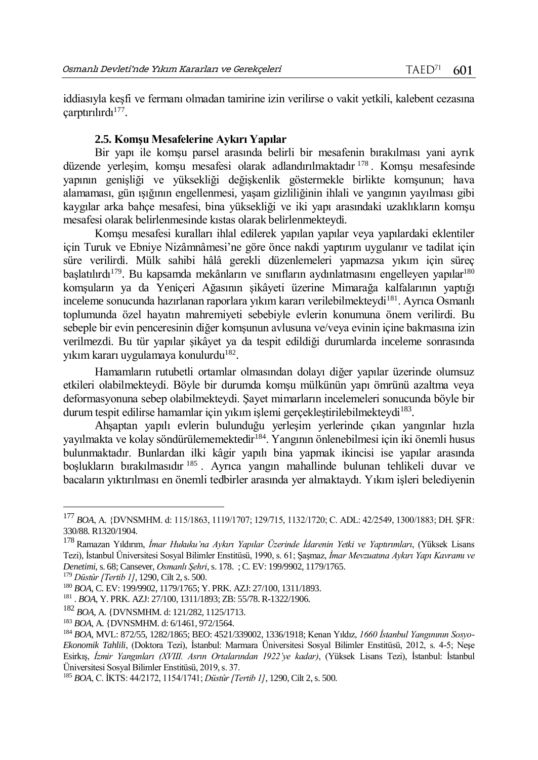iddiasıyla keşfi ve fermanı olmadan tamirine izin verilirse o vakit yetkili, kalebent cezasına çarptırılırdı<sup>177</sup> .

#### **2.5. Komşu Mesafelerine Aykırı Yapılar**

Bir yapı ile komşu parsel arasında belirli bir mesafenin bırakılması yani ayrık düzende yerleşim, komşu mesafesi olarak adlandırılmaktadır <sup>178</sup> . Komşu mesafesinde yapının genişliği ve yüksekliği değişkenlik göstermekle birlikte komşunun; hava alamaması, gün ışığının engellenmesi, yaşam gizliliğinin ihlali ve yangının yayılması gibi kaygılar arka bahçe mesafesi, bina yüksekliği ve iki yapı arasındaki uzaklıkların komşu mesafesi olarak belirlenmesinde kıstas olarak belirlenmekteydi.

Komşu mesafesi kuralları ihlal edilerek yapılan yapılar veya yapılardaki eklentiler için Turuk ve Ebniye Nizâmnâmesi'ne göre önce nakdi yaptırım uygulanır ve tadilat için süre verilirdi. Mülk sahibi hâlâ gerekli düzenlemeleri yapmazsa yıkım için süreç başlatılırdı<sup>179</sup>. Bu kapsamda mekânların ve sınıfların aydınlatmasını engelleyen yapılar<sup>180</sup> komşuların ya da Yeniçeri Ağasının şikâyeti üzerine Mimarağa kalfalarının yaptığı inceleme sonucunda hazırlanan raporlara yıkım kararı verilebilmekteydi<sup>181</sup>. Ayrıca Osmanlı toplumunda özel hayatın mahremiyeti sebebiyle evlerin konumuna önem verilirdi. Bu sebeple bir evin penceresinin diğer komşunun avlusuna ve/veya evinin içine bakmasına izin verilmezdi. Bu tür yapılar şikâyet ya da tespit edildiği durumlarda inceleme sonrasında yıkım kararı uygulamaya konulurdu<sup>182</sup>.

Hamamların rutubetli ortamlar olmasından dolayı diğer yapılar üzerinde olumsuz etkileri olabilmekteydi. Böyle bir durumda komşu mülkünün yapı ömrünü azaltma veya deformasyonuna sebep olabilmekteydi. Şayet mimarların incelemeleri sonucunda böyle bir durum tespit edilirse hamamlar için yıkım işlemi gerçekleştirilebilmekteydi<sup>183</sup>.

Ahşaptan yapılı evlerin bulunduğu yerleşim yerlerinde çıkan yangınlar hızla yayılmakta ve kolay söndürülememektedir<sup>184</sup>. Yangının önlenebilmesi için iki önemli husus bulunmaktadır. Bunlardan ilki kâgir yapılı bina yapmak ikincisi ise yapılar arasında boşlukların bırakılmasıdır <sup>185</sup> . Ayrıca yangın mahallinde bulunan tehlikeli duvar ve bacaların yıktırılması en önemli tedbirler arasında yer almaktaydı. Yıkım işleri belediyenin

<sup>177</sup> *BOA*, A. {DVNSMHM. d: 115/1863, 1119/1707; 129/715, 1132/1720; C. ADL: 42/2549, 1300/1883; DH. ŞFR: 330/88. R1320/1904.

<sup>178</sup> Ramazan Yıldırım, *İmar Hukuku'na Aykırı Yapılar Üzerinde İdarenin Yetki ve Yaptırımları*, (Yüksek Lisans Tezi), İstanbul Üniversitesi Sosyal Bilimler Enstitüsü, 1990, s. 61; Şaşmaz, *İmar Mevzuatına Aykırı Yapı Kavramı ve Denetimi*, s. 68; Cansever, *Osmanlı Şehri*, s. 178. ; C. EV: 199/9902, 1179/1765.

<sup>179</sup> *Düstûr [Tertib 1]*, 1290, Cilt 2, s. 500.

<sup>180</sup> *BOA*, C. EV: 199/9902, 1179/1765; Y. PRK. AZJ: 27/100, 1311/1893.

<sup>181</sup> . *BOA*, Y. PRK. AZJ: 27/100, 1311/1893; ZB: 55/78. R-1322/1906.

<sup>182</sup> *BOA*, A. {DVNSMHM. d: 121/282, 1125/1713.

<sup>183</sup> *BOA*, A. {DVNSMHM. d: 6/1461, 972/1564.

<sup>184</sup> *BOA*, MVL: 872/55, 1282/1865; BEO: 4521/339002, 1336/1918; Kenan Yıldız, *1660 İstanbul Yangınının Sosyo-Ekonomik Tahlili*, (Doktora Tezi), İstanbul: Marmara Üniversitesi Sosyal Bilimler Enstitüsü, 2012, s. 4-5; Neşe Esirkış, *İzmir Yangınları (XVIII. Asrın Ortalarından 1922'ye kadar)*, (Yüksek Lisans Tezi), İstanbul: İstanbul Üniversitesi Sosyal Bilimler Enstitüsü, 2019, s. 37.

<sup>185</sup> *BOA*, C. İKTS: 44/2172, 1154/1741; *Düstûr [Tertib 1]*, 1290, Cilt 2, s. 500.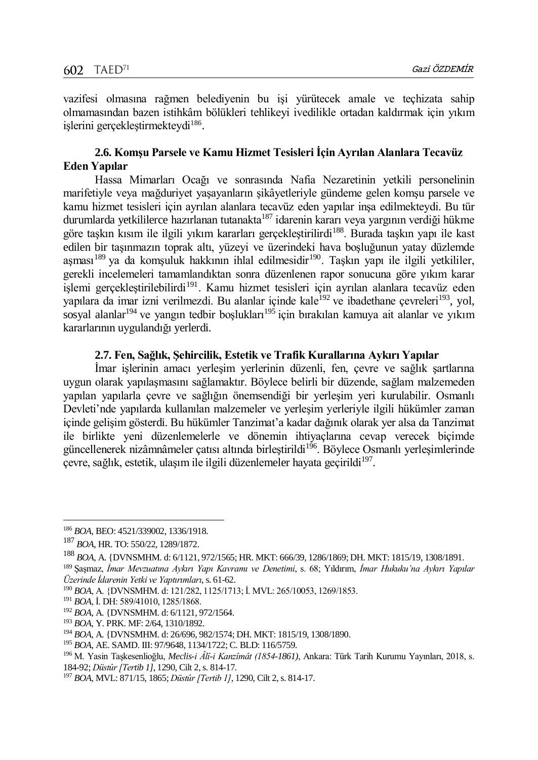vazifesi olmasına rağmen belediyenin bu işi yürütecek amale ve teçhizata sahip olmamasından bazen istihkâm bölükleri tehlikeyi ivedilikle ortadan kaldırmak için yıkım işlerini gerçekleştirmekteydi<sup>186</sup>.

## **2.6. Komşu Parsele ve Kamu Hizmet Tesisleri İçin Ayrılan Alanlara Tecavüz Eden Yapılar**

Hassa Mimarları Ocağı ve sonrasında Nafia Nezaretinin yetkili personelinin marifetiyle veya mağduriyet yaşayanların şikâyetleriyle gündeme gelen komşu parsele ve kamu hizmet tesisleri için ayrılan alanlara tecavüz eden yapılar inşa edilmekteydi. Bu tür durumlarda yetkililerce hazırlanan tutanakta<sup>187</sup> idarenin kararı veya yargının verdiği hükme göre taşkın kısım ile ilgili yıkım kararları gerçekleştirilirdi<sup>188</sup>. Burada taşkın yapı ile kast edilen bir taşınmazın toprak altı, yüzeyi ve üzerindeki hava boşluğunun yatay düzlemde aşması<sup>189</sup> ya da komşuluk hakkının ihlal edilmesidir<sup>190</sup>. Taşkın yapı ile ilgili yetkililer, gerekli incelemeleri tamamlandıktan sonra düzenlenen rapor sonucuna göre yıkım karar işlemi gerçekleştirilebilirdi<sup>191</sup>. Kamu hizmet tesisleri için ayrılan alanlara tecavüz eden yapılara da imar izni verilmezdi. Bu alanlar içinde kale<sup>192</sup> ve ibadethane çevreleri<sup>193</sup>, yol, sosyal alanlar<sup>194</sup> ve yangın tedbir boşlukları<sup>195</sup> için bırakılan kamuya ait alanlar ve yıkım kararlarının uygulandığı yerlerdi.

## **2.7. Fen, Sağlık, Şehircilik, Estetik ve Trafik Kurallarına Aykırı Yapılar**

İmar işlerinin amacı yerleşim yerlerinin düzenli, fen, çevre ve sağlık şartlarına uygun olarak yapılaşmasını sağlamaktır. Böylece belirli bir düzende, sağlam malzemeden yapılan yapılarla çevre ve sağlığın önemsendiği bir yerleşim yeri kurulabilir. Osmanlı Devleti'nde yapılarda kullanılan malzemeler ve yerleşim yerleriyle ilgili hükümler zaman içinde gelişim gösterdi. Bu hükümler Tanzimat'a kadar dağınık olarak yer alsa da Tanzimat ile birlikte yeni düzenlemelerle ve dönemin ihtiyaçlarına cevap verecek biçimde güncellenerek nizâmnâmeler çatısı altında birleştirildi<sup>196</sup>. Böylece Osmanlı yerleşimlerinde çevre, sağlık, estetik, ulaşım ile ilgili düzenlemeler hayata geçirildi<sup>197</sup>.

<sup>186</sup> *BOA*, BEO: 4521/339002, 1336/1918.

<sup>187</sup> *BOA*, HR. TO: 550/22, 1289/1872.

<sup>188</sup> *BOA*, A. {DVNSMHM. d: 6/1121, 972/1565; HR. MKT: 666/39, 1286/1869; DH. MKT: 1815/19, 1308/1891.

<sup>189</sup> Şaşmaz, *İmar Mevzuatına Aykırı Yapı Kavramı ve Denetimi*, s. 68; Yıldırım, *İmar Hukuku'na Aykırı Yapılar Üzerinde İdarenin Yetki ve Yaptırımları*, s. 61-62.

<sup>190</sup> *BOA*, A. {DVNSMHM. d: 121/282, 1125/1713; İ. MVL: 265/10053, 1269/1853.

<sup>191</sup> *BOA*, İ. DH: 589/41010, 1285/1868.

<sup>192</sup> *BOA*, A. {DVNSMHM. d: 6/1121, 972/1564.

<sup>193</sup> *BOA*, Y. PRK. MF: 2/64, 1310/1892.

<sup>194</sup> *BOA*, A. {DVNSMHM. d: 26/696, 982/1574; DH. MKT: 1815/19, 1308/1890.

<sup>195</sup> *BOA*, AE. SAMD. III: 97/9648, 1134/1722; C. BLD: 116/5759.

<sup>196</sup> M. Yasin Taşkesenlioğlu, *Meclis-i Âlî-i Kanzîmât (1854-1861)*, Ankara: Türk Tarih Kurumu Yayınları, 2018, s. 184-92; *Düstûr [Tertib 1]*, 1290, Cilt 2, s. 814-17.

<sup>197</sup> *BOA*, MVL: 871/15, 1865; *Düstûr [Tertib 1]*, 1290, Cilt 2, s. 814-17.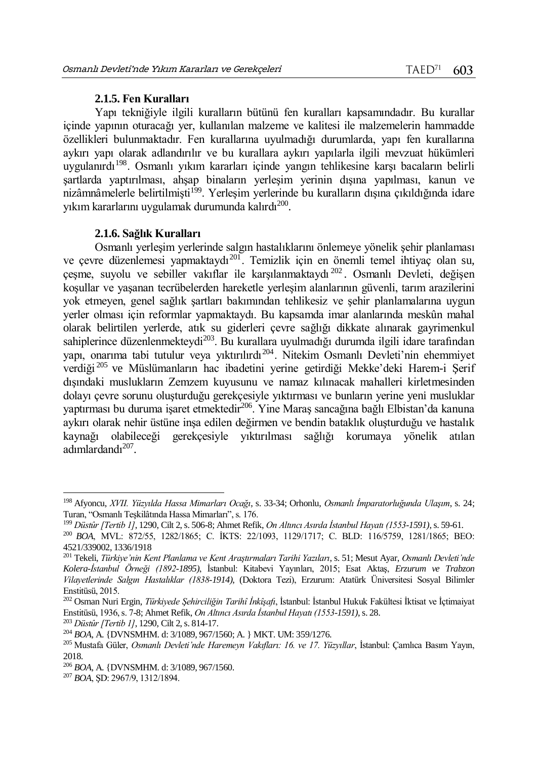#### **2.1.5. Fen Kuralları**

Yapı tekniğiyle ilgili kuralların bütünü fen kuralları kapsamındadır. Bu kurallar içinde yapının oturacağı yer, kullanılan malzeme ve kalitesi ile malzemelerin hammadde özellikleri bulunmaktadır. Fen kurallarına uyulmadığı durumlarda, yapı fen kurallarına aykırı yapı olarak adlandırılır ve bu kurallara aykırı yapılarla ilgili mevzuat hükümleri uygulanırdı<sup>198</sup>. Osmanlı yıkım kararları içinde yangın tehlikesine karşı bacaların belirli şartlarda yaptırılması, ahşap binaların yerleşim yerinin dışına yapılması, kanun ve nizâmnâmelerle belirtilmişti<sup>199</sup>. Yerleşim verlerinde bu kuralların dışına çıkıldığında idare yıkım kararlarını uygulamak durumunda kalırdı $^{200}$ .

#### **2.1.6. Sağlık Kuralları**

Osmanlı yerleşim yerlerinde salgın hastalıklarını önlemeye yönelik şehir planlaması ve çevre düzenlemesi yapmaktaydı<sup>201</sup>. Temizlik için en önemli temel ihtiyaç olan su, çeşme, suyolu ve sebiller vakıflar ile karşılanmaktaydı<sup>202</sup>. Osmanlı Devleti, değişen koşullar ve yaşanan tecrübelerden hareketle yerleşim alanlarının güvenli, tarım arazilerini yok etmeyen, genel sağlık şartları bakımından tehlikesiz ve şehir planlamalarına uygun yerler olması için reformlar yapmaktaydı. Bu kapsamda imar alanlarında meskûn mahal olarak belirtilen yerlerde, atık su giderleri çevre sağlığı dikkate alınarak gayrimenkul sahiplerince düzenlenmekteydi<sup>203</sup>. Bu kurallara uyulmadığı durumda ilgili idare tarafından yapı, onarıma tabi tutulur veya yıktırılırdı<sup>204</sup>. Nitekim Osmanlı Devleti'nin ehemmiyet verdiği <sup>205</sup> ve Müslümanların hac ibadetini yerine getirdiği Mekke'deki Harem-i Şerif dışındaki muslukların Zemzem kuyusunu ve namaz kılınacak mahalleri kirletmesinden dolayı çevre sorunu oluşturduğu gerekçesiyle yıktırması ve bunların yerine yeni musluklar yaptırması bu duruma isaret etmektedir<sup>206</sup>. Yine Maras sancağına bağlı Elbistan'da kanuna aykırı olarak nehir üstüne inşa edilen değirmen ve bendin bataklık oluşturduğu ve hastalık kaynağı olabileceği gerekçesiyle yıktırılması sağlığı korumaya yönelik atılan adımlardandı<sup>207</sup>.

<sup>198</sup> Afyoncu, *XVII. Yüzyılda Hassa Mimarları Ocağı*, s. 33-34; Orhonlu, *Osmanlı İmparatorluğunda Ulaşım*, s. 24; Turan, "Osmanlı Teşkilâtında Hassa Mimarları", s. 176.

<sup>199</sup> *Düstûr [Tertib 1]*, 1290, Cilt 2, s. 506-8; Ahmet Refik, *On Altıncı Asırda İstanbul Hayatı (1553-1591)*, s. 59-61.

<sup>200</sup> *BOA*, MVL: 872/55, 1282/1865; C. İKTS: 22/1093, 1129/1717; C. BLD: 116/5759, 1281/1865; BEO: 4521/339002, 1336/1918

<sup>201</sup> Tekeli, *Türkiye'nin Kent Planlama ve Kent Araştırmaları Tarihi Yazıları*, s. 51; Mesut Ayar, *Osmanlı Devleti'nde Kolera-İstanbul Örneği (1892-1895)*, İstanbul: Kitabevi Yayınları, 2015; Esat Aktaş, *Erzurum ve Trabzon Vilayetlerinde Salgın Hastalıklar (1838-1914)*, (Doktora Tezi), Erzurum: Atatürk Üniversitesi Sosyal Bilimler Enstitüsü, 2015.

<sup>202</sup> Osman Nuri Ergin, *Türkiyede Şehirciliğin Tarihî İnkîşafı*, İstanbul: İstanbul Hukuk Fakültesi İktisat ve İçtimaiyat Enstitüsü, 1936, s. 7-8; Ahmet Refik, *On Altıncı Asırda İstanbul Hayatı (1553-1591)*, s. 28.

<sup>203</sup> *Düstûr [Tertib 1]*, 1290, Cilt 2, s. 814-17.

<sup>204</sup> *BOA*, A. {DVNSMHM. d: 3/1089, 967/1560; A. } MKT. UM: 359/1276.

<sup>205</sup> Mustafa Güler, *Osmanlı Devleti'nde Haremeyn Vakıfları: 16. ve 17. Yüzyıllar*, İstanbul: Çamlıca Basım Yayın, 2018.

<sup>206</sup> *BOA*, A. {DVNSMHM. d: 3/1089, 967/1560.

<sup>207</sup> *BOA*, ŞD: 2967/9, 1312/1894.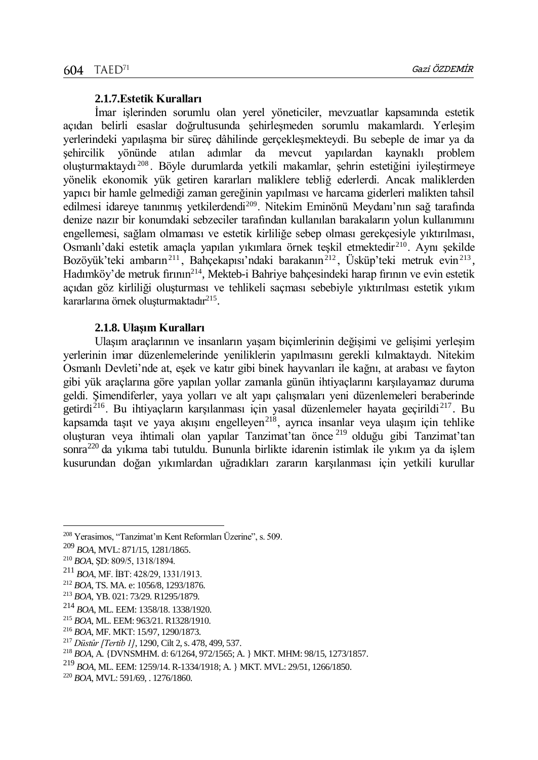## **2.1.7.Estetik Kuralları**

İmar işlerinden sorumlu olan yerel yöneticiler, mevzuatlar kapsamında estetik açıdan belirli esaslar doğrultusunda şehirleşmeden sorumlu makamlardı. Yerleşim yerlerindeki yapılaşma bir süreç dâhilinde gerçekleşmekteydi. Bu sebeple de imar ya da şehircilik yönünde atılan adımlar da mevcut yapılardan kaynaklı problem oluşturmaktaydı <sup>208</sup> . Böyle durumlarda yetkili makamlar, şehrin estetiğini iyileştirmeye yönelik ekonomik yük getiren kararları maliklere tebliğ ederlerdi. Ancak maliklerden yapıcı bir hamle gelmediği zaman gereğinin yapılması ve harcama giderleri malikten tahsil edilmesi idareye tanınmış yetkilerdendi<sup>209</sup>. Nitekim Eminönü Meydanı'nın sağ tarafında denize nazır bir konumdaki sebzeciler tarafından kullanılan barakaların yolun kullanımını engellemesi, sağlam olmaması ve estetik kirliliğe sebep olması gerekçesiyle yıktırılması, Osmanlı'daki estetik amaçla yapılan yıkımlara örnek teşkil etmektedir<sup>210</sup>. Aynı şekilde Bozöyük'teki ambarın<sup>211</sup>, Bahçekapısı'ndaki barakanın<sup>212</sup>, Üsküp'teki metruk evin<sup>213</sup>, Hadımköy'de metruk fırının<sup>214</sup>, Mekteb-i Bahriye bahçesindeki harap fırının ve evin estetik açıdan göz kirliliği oluşturması ve tehlikeli saçması sebebiyle yıktırılması estetik yıkım kararlarına örnek oluşturmaktadır<sup>215</sup> .

## **2.1.8. Ulaşım Kuralları**

Ulaşım araçlarının ve insanların yaşam biçimlerinin değişimi ve gelişimi yerleşim yerlerinin imar düzenlemelerinde yeniliklerin yapılmasını gerekli kılmaktaydı. Nitekim Osmanlı Devleti'nde at, eşek ve katır gibi binek hayvanları ile kağnı, at arabası ve fayton gibi yük araçlarına göre yapılan yollar zamanla günün ihtiyaçlarını karşılayamaz duruma geldi. Şimendiferler, yaya yolları ve alt yapı çalışmaları yeni düzenlemeleri beraberinde getirdi<sup>216</sup>. Bu ihtiyaçların karşılanması için yasal düzenlemeler hayata geçirildi<sup>217</sup>. Bu kapsamda taşıt ve yaya akışını engelleyen<sup>218</sup>, ayrıca insanlar veya ulaşım için tehlike oluşturan veya ihtimali olan yapılar Tanzimat'tan önce <sup>219</sup> olduğu gibi Tanzimat'tan sonra<sup>220</sup> da yıkıma tabi tutuldu. Bununla birlikte idarenin istimlak ile yıkım ya da islem kusurundan doğan yıkımlardan uğradıkları zararın karşılanması için yetkili kurullar

<sup>208</sup> Yerasimos, "Tanzimat'ın Kent Reformları Üzerine", s. 509.

<sup>209</sup> *BOA*, MVL: 871/15, 1281/1865.

<sup>210</sup> *BOA*, ŞD: 809/5, 1318/1894.

<sup>211</sup> *BOA*, MF. İBT: 428/29, 1331/1913.

<sup>212</sup> *BOA*, TS. MA. e: 1056/8, 1293/1876.

<sup>213</sup> *BOA*, YB. 021: 73/29. R1295/1879.

<sup>214</sup> *BOA*, ML. EEM: 1358/18. 1338/1920.

<sup>215</sup> *BOA*, ML. EEM: 963/21. R1328/1910.

<sup>216</sup> *BOA*, MF. MKT: 15/97, 1290/1873.

<sup>217</sup> *Düstûr [Tertib 1]*, 1290, Cilt 2, s. 478, 499, 537.

<sup>218</sup> *BOA*, A. {DVNSMHM. d: 6/1264, 972/1565; A. } MKT. MHM: 98/15, 1273/1857.

<sup>219</sup> *BOA*, ML. EEM: 1259/14. R-1334/1918; A. } MKT. MVL: 29/51, 1266/1850.

<sup>220</sup> *BOA*, MVL: 591/69, . 1276/1860.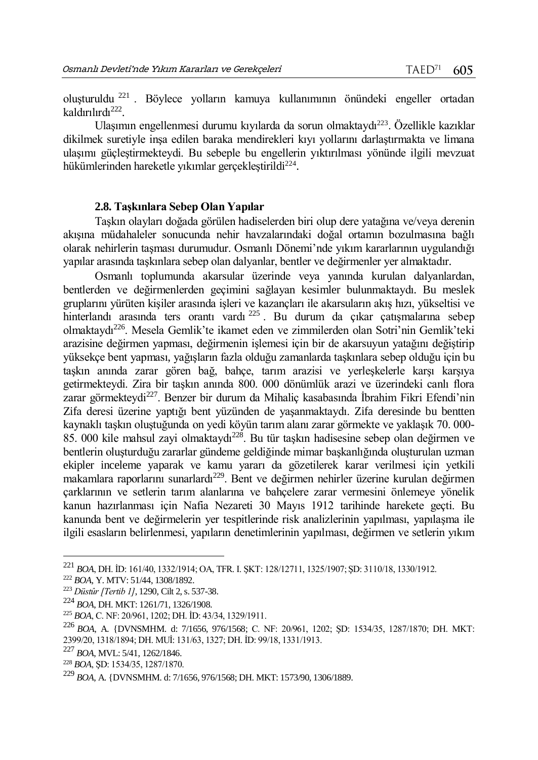oluşturuldu <sup>221</sup> . Böylece yolların kamuya kullanımının önündeki engeller ortadan kaldırılırdı<sup>222</sup>.

Ulaşımın engellenmesi durumu kıyılarda da sorun olmaktaydı<sup>223</sup>. Özellikle kazıklar dikilmek suretiyle inşa edilen baraka mendirekleri kıyı yollarını darlaştırmakta ve limana ulaşımı güçleştirmekteydi. Bu sebeple bu engellerin yıktırılması yönünde ilgili mevzuat hükümlerinden hareketle yıkımlar gerçekleştirildi<sup>224</sup>.

## **2.8. Taşkınlara Sebep Olan Yapılar**

Taşkın olayları doğada görülen hadiselerden biri olup dere yatağına ve/veya derenin akışına müdahaleler sonucunda nehir havzalarındaki doğal ortamın bozulmasına bağlı olarak nehirlerin taşması durumudur. Osmanlı Dönemi'nde yıkım kararlarının uygulandığı yapılar arasında taşkınlara sebep olan dalyanlar, bentler ve değirmenler yer almaktadır.

Osmanlı toplumunda akarsular üzerinde veya yanında kurulan dalyanlardan, bentlerden ve değirmenlerden geçimini sağlayan kesimler bulunmaktaydı. Bu meslek gruplarını yürüten kişiler arasında işleri ve kazançları ile akarsuların akış hızı, yükseltisi ve hinterlandı arasında ters orantı vardı <sup>225</sup> . Bu durum da çıkar çatışmalarına sebep olmaktaydı<sup>226</sup>. Mesela Gemlik'te ikamet eden ve zimmilerden olan Sotri'nin Gemlik'teki arazisine değirmen yapması, değirmenin işlemesi için bir de akarsuyun yatağını değiştirip yüksekçe bent yapması, yağışların fazla olduğu zamanlarda taşkınlara sebep olduğu için bu taşkın anında zarar gören bağ, bahçe, tarım arazisi ve yerleşkelerle karşı karşıya getirmekteydi. Zira bir taşkın anında 800. 000 dönümlük arazi ve üzerindeki canlı flora zarar görmekteydi<sup>227</sup>. Benzer bir durum da Mihaliç kasabasında İbrahim Fikri Efendi'nin Zifa deresi üzerine yaptığı bent yüzünden de yaşanmaktaydı. Zifa deresinde bu bentten kaynaklı taşkın oluştuğunda on yedi köyün tarım alanı zarar görmekte ve yaklaşık 70. 000- 85. 000 kile mahsul zayi olmaktaydı<sup>228</sup>. Bu tür taşkın hadisesine sebep olan değirmen ve bentlerin oluşturduğu zararlar gündeme geldiğinde mimar başkanlığında oluşturulan uzman ekipler inceleme yaparak ve kamu yararı da gözetilerek karar verilmesi için yetkili makamlara raporlarını sunarlardı<sup>229</sup>. Bent ve değirmen nehirler üzerine kurulan değirmen çarklarının ve setlerin tarım alanlarına ve bahçelere zarar vermesini önlemeye yönelik kanun hazırlanması için Nafia Nezareti 30 Mayıs 1912 tarihinde harekete geçti. Bu kanunda bent ve değirmelerin yer tespitlerinde risk analizlerinin yapılması, yapılaşma ile ilgili esasların belirlenmesi, yapıların denetimlerinin yapılması, değirmen ve setlerin yıkım

 $\overline{a}$ 

<sup>227</sup> *BOA*, MVL: 5/41, 1262/1846.

<sup>221</sup> *BOA*, DH. İD: 161/40, 1332/1914; OA, TFR. I. ŞKT: 128/12711, 1325/1907; ŞD: 3110/18, 1330/1912.

<sup>222</sup> *BOA*, Y. MTV: 51/44, 1308/1892.

<sup>223</sup> *Düstûr [Tertib 1]*, 1290, Cilt 2, s. 537-38.

<sup>224</sup> *BOA*, DH. MKT: 1261/71, 1326/1908.

<sup>225</sup> *BOA*, C. NF: 20/961, 1202; DH. İD: 43/34, 1329/1911.

<sup>226</sup> *BOA*, A. {DVNSMHM. d: 7/1656, 976/1568; C. NF: 20/961, 1202; ŞD: 1534/35, 1287/1870; DH. MKT: 2399/20, 1318/1894; DH. MUİ: 131/63, 1327; DH. İD: 99/18, 1331/1913.

<sup>228</sup> *BOA*, ŞD: 1534/35, 1287/1870.

<sup>229</sup> *BOA*, A. {DVNSMHM. d: 7/1656, 976/1568; DH. MKT: 1573/90, 1306/1889.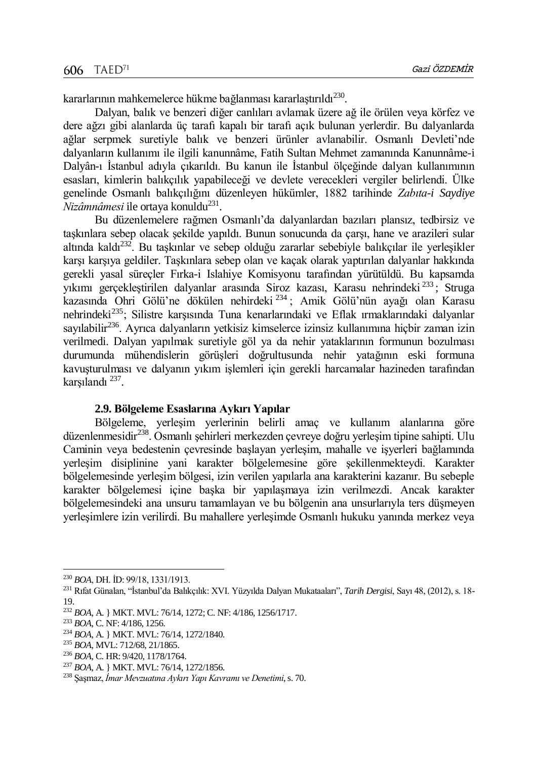kararlarının mahkemelerce hükme bağlanması kararlaştırıldı $^{230}\!.$ 

Dalyan, balık ve benzeri diğer canlıları avlamak üzere ağ ile örülen veya körfez ve dere ağzı gibi alanlarda üç tarafı kapalı bir tarafı açık bulunan yerlerdir. Bu dalyanlarda ağlar serpmek suretiyle balık ve benzeri ürünler avlanabilir. Osmanlı Devleti'nde dalyanların kullanımı ile ilgili kanunnâme, Fatih Sultan Mehmet zamanında Kanunnâme-i Dalyân-ı İstanbul adıyla çıkarıldı. Bu kanun ile İstanbul ölçeğinde dalyan kullanımının esasları, kimlerin balıkçılık yapabileceği ve devlete verecekleri vergiler belirlendi. Ülke genelinde Osmanlı balıkçılığını düzenleyen hükümler, 1882 tarihinde *Zabıta-i Saydiye Nizâmnâmesi* ile ortaya konuldu<sup>231</sup>.

Bu düzenlemelere rağmen Osmanlı'da dalyanlardan bazıları plansız, tedbirsiz ve taşkınlara sebep olacak şekilde yapıldı. Bunun sonucunda da çarşı, hane ve arazileri sular altında kaldı<sup>232</sup>. Bu taşkınlar ve sebep olduğu zararlar sebebiyle balıkçılar ile yerleşikler karşı karşıya geldiler. Taşkınlara sebep olan ve kaçak olarak yaptırılan dalyanlar hakkında gerekli yasal süreçler Fırka-i Islahiye Komisyonu tarafından yürütüldü. Bu kapsamda yıkımı gerçekleştirilen dalyanlar arasında Siroz kazası, Karasu nehrindeki <sup>233</sup> ; Struga kazasında Ohri Gölü'ne dökülen nehirdeki <sup>234</sup> ; Amik Gölü'nün ayağı olan Karasu nehrindeki<sup>235</sup>; Silistre karşısında Tuna kenarlarındaki ve Eflak ırmaklarındaki dalyanlar sayılabilir<sup>236</sup>. Ayrıca dalyanların yetkisiz kimselerce izinsiz kullanımına hiçbir zaman izin verilmedi. Dalyan yapılmak suretiyle göl ya da nehir yataklarının formunun bozulması durumunda mühendislerin görüşleri doğrultusunda nehir yatağının eski formuna kavuşturulması ve dalyanın yıkım işlemleri için gerekli harcamalar hazineden tarafından karşılandı <sup>237</sup> .

## **2.9. Bölgeleme Esaslarına Aykırı Yapılar**

Bölgeleme, yerleşim yerlerinin belirli amaç ve kullanım alanlarına göre düzenlenmesidir<sup>238</sup>. Osmanlı şehirleri merkezden çevreye doğru yerleşim tipine sahipti. Ulu Caminin veya bedestenin çevresinde başlayan yerleşim, mahalle ve işyerleri bağlamında yerleşim disiplinine yani karakter bölgelemesine göre şekillenmekteydi. Karakter bölgelemesinde yerleşim bölgesi, izin verilen yapılarla ana karakterini kazanır. Bu sebeple karakter bölgelemesi içine başka bir yapılaşmaya izin verilmezdi. Ancak karakter bölgelemesindeki ana unsuru tamamlayan ve bu bölgenin ana unsurlarıyla ters düşmeyen yerleşimlere izin verilirdi. Bu mahallere yerleşimde Osmanlı hukuku yanında merkez veya

<sup>230</sup> *BOA*, DH. İD: 99/18, 1331/1913.

<sup>231</sup> Rıfat Günalan, "İstanbul'da Balıkçılık: XVI. Yüzyılda Dalyan Mukataaları", *Tarih Dergisi*, Sayı 48, (2012), s. 18- 19.

<sup>232</sup> *BOA*, A. } MKT. MVL: 76/14, 1272; C. NF: 4/186, 1256/1717.

<sup>233</sup> *BOA*, C. NF: 4/186, 1256.

<sup>234</sup> *BOA*, A. } MKT. MVL: 76/14, 1272/1840.

<sup>235</sup> *BOA*, MVL: 712/68, 21/1865.

<sup>236</sup> *BOA*, C. HR: 9/420, 1178/1764.

<sup>237</sup> *BOA*, A. } MKT. MVL: 76/14, 1272/1856.

<sup>238</sup> Şaşmaz, *İmar Mevzuatına Aykırı Yapı Kavramı ve Denetimi*, s. 70.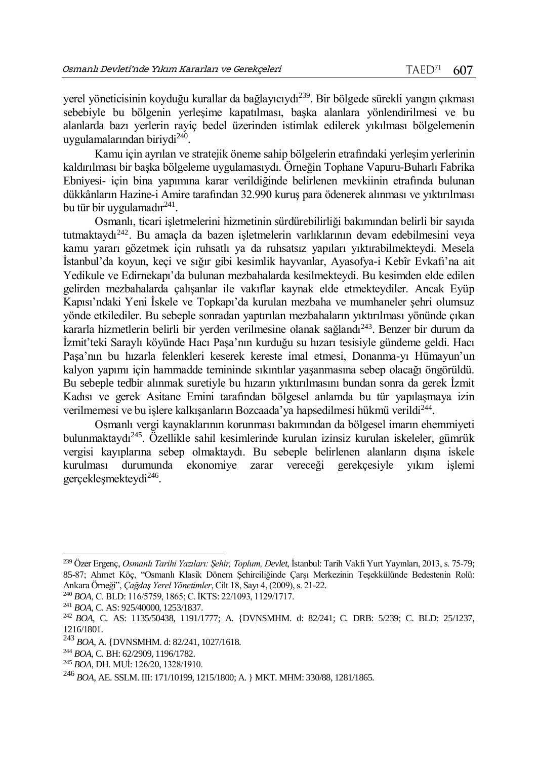yerel yöneticisinin koyduğu kurallar da bağlayıcıydı<sup>239</sup>. Bir bölgede sürekli yangın çıkması sebebiyle bu bölgenin yerleşime kapatılması, başka alanlara yönlendirilmesi ve bu alanlarda bazı yerlerin rayiç bedel üzerinden istimlak edilerek yıkılması bölgelemenin uygulamalarından biriydi<sup>240</sup>.

Kamu için ayrılan ve stratejik öneme sahip bölgelerin etrafındaki yerleşim yerlerinin kaldırılması bir başka bölgeleme uygulamasıydı. Örneğin Tophane Vapuru-Buharlı Fabrika Ebniyesi- için bina yapımına karar verildiğinde belirlenen mevkiinin etrafında bulunan dükkânların Hazine-i Amire tarafından 32.990 kuruş para ödenerek alınması ve yıktırılması bu tür bir uygulamadır<sup>241</sup>.

Osmanlı, ticari işletmelerini hizmetinin sürdürebilirliği bakımından belirli bir sayıda tutmaktaydı<sup>242</sup>. Bu amaçla da bazen isletmelerin varlıklarının devam edebilmesini veya kamu yararı gözetmek için ruhsatlı ya da ruhsatsız yapıları yıktırabilmekteydi. Mesela İstanbul'da koyun, keçi ve sığır gibi kesimlik hayvanlar, Ayasofya-i Kebîr Evkafı'na ait Yedikule ve Edirnekapı'da bulunan mezbahalarda kesilmekteydi. Bu kesimden elde edilen gelirden mezbahalarda çalışanlar ile vakıflar kaynak elde etmekteydiler. Ancak Eyüp Kapısı'ndaki Yeni İskele ve Topkapı'da kurulan mezbaha ve mumhaneler şehri olumsuz yönde etkilediler. Bu sebeple sonradan yaptırılan mezbahaların yıktırılması yönünde çıkan kararla hizmetlerin belirli bir yerden verilmesine olanak sağlandı<sup>243</sup>. Benzer bir durum da İzmit'teki Saraylı köyünde Hacı Paşa'nın kurduğu su hızarı tesisiyle gündeme geldi. Hacı Paşa'nın bu hızarla felenkleri keserek kereste imal etmesi, Donanma-yı Hümayun'un kalyon yapımı için hammadde temininde sıkıntılar yaşanmasına sebep olacağı öngörüldü. Bu sebeple tedbir alınmak suretiyle bu hızarın yıktırılmasını bundan sonra da gerek İzmit Kadısı ve gerek Asitane Emini tarafından bölgesel anlamda bu tür yapılaşmaya izin verilmemesi ve bu işlere kalkışanların Bozcaada'ya hapsedilmesi hükmü verildi<sup>244</sup>.

Osmanlı vergi kaynaklarının korunması bakımından da bölgesel imarın ehemmiyeti bulunmaktaydı<sup>245</sup>. Özellikle sahil kesimlerinde kurulan izinsiz kurulan iskeleler, gümrük vergisi kayıplarına sebep olmaktaydı. Bu sebeple belirlenen alanların dışına iskele kurulması durumunda ekonomiye zarar vereceği gerekçesiyle yıkım işlemi gerçekleşmekteydi<sup>246</sup>.

<sup>239</sup> Özer Ergenç, *Osmanlı Tarihi Yazıları: Şehir, Toplum, Devlet*, İstanbul: Tarih Vakfı Yurt Yayınları, 2013, s. 75-79; 85-87; Ahmet Köç, "Osmanlı Klasik Dönem Şehirciliğinde Çarşı Merkezinin Teşekkülünde Bedestenin Rolü: Ankara Örneği", *Çağdaş Yerel Yönetimler*, Cilt 18, Sayı 4, (2009), s. 21-22.

<sup>240</sup> *BOA*, C. BLD: 116/5759, 1865; C. İKTS: 22/1093, 1129/1717.

<sup>241</sup> *BOA*, C. AS: 925/40000, 1253/1837.

<sup>242</sup> *BOA*, C. AS: 1135/50438, 1191/1777; A. {DVNSMHM. d: 82/241; C. DRB: 5/239; C. BLD: 25/1237, 1216/1801.

<sup>243</sup> *BOA*, A. {DVNSMHM. d: 82/241, 1027/1618.

<sup>244</sup> *BOA*, C. BH: 62/2909, 1196/1782.

<sup>245</sup> *BOA*, DH. MUİ: 126/20, 1328/1910.

<sup>246</sup> *BOA*, AE. SSLM. III: 171/10199, 1215/1800; A. } MKT. MHM: 330/88, 1281/1865.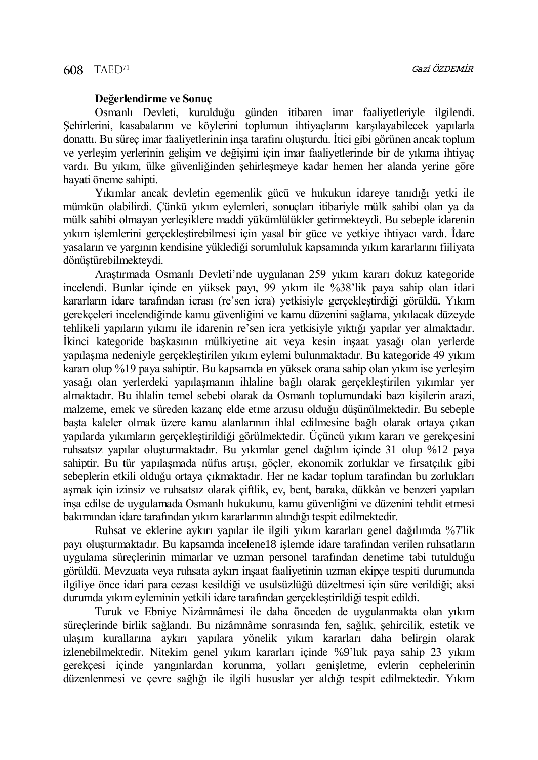## **Değerlendirme ve Sonuç**

Osmanlı Devleti, kurulduğu günden itibaren imar faaliyetleriyle ilgilendi. Şehirlerini, kasabalarını ve köylerini toplumun ihtiyaçlarını karşılayabilecek yapılarla donattı. Bu süreç imar faaliyetlerinin inşa tarafını oluşturdu. İtici gibi görünen ancak toplum ve yerleşim yerlerinin gelişim ve değişimi için imar faaliyetlerinde bir de yıkıma ihtiyaç vardı. Bu yıkım, ülke güvenliğinden şehirleşmeye kadar hemen her alanda yerine göre hayati öneme sahipti.

Yıkımlar ancak devletin egemenlik gücü ve hukukun idareye tanıdığı yetki ile mümkün olabilirdi. Çünkü yıkım eylemleri, sonuçları itibariyle mülk sahibi olan ya da mülk sahibi olmayan yerleşiklere maddi yükümlülükler getirmekteydi. Bu sebeple idarenin yıkım işlemlerini gerçekleştirebilmesi için yasal bir güce ve yetkiye ihtiyacı vardı. İdare yasaların ve yargının kendisine yüklediği sorumluluk kapsamında yıkım kararlarını fiiliyata dönüştürebilmekteydi.

Araştırmada Osmanlı Devleti'nde uygulanan 259 yıkım kararı dokuz kategoride incelendi. Bunlar içinde en yüksek payı, 99 yıkım ile %38'lik paya sahip olan idari kararların idare tarafından icrası (re'sen icra) yetkisiyle gerçekleştirdiği görüldü. Yıkım gerekçeleri incelendiğinde kamu güvenliğini ve kamu düzenini sağlama, yıkılacak düzeyde tehlikeli yapıların yıkımı ile idarenin re'sen icra yetkisiyle yıktığı yapılar yer almaktadır. İkinci kategoride başkasının mülkiyetine ait veya kesin inşaat yasağı olan yerlerde yapılaşma nedeniyle gerçekleştirilen yıkım eylemi bulunmaktadır. Bu kategoride 49 yıkım kararı olup %19 paya sahiptir. Bu kapsamda en yüksek orana sahip olan yıkım ise yerleşim yasağı olan yerlerdeki yapılaşmanın ihlaline bağlı olarak gerçekleştirilen yıkımlar yer almaktadır. Bu ihlalin temel sebebi olarak da Osmanlı toplumundaki bazı kişilerin arazi, malzeme, emek ve süreden kazanç elde etme arzusu olduğu düşünülmektedir. Bu sebeple başta kaleler olmak üzere kamu alanlarının ihlal edilmesine bağlı olarak ortaya çıkan yapılarda yıkımların gerçekleştirildiği görülmektedir. Üçüncü yıkım kararı ve gerekçesini ruhsatsız yapılar oluşturmaktadır. Bu yıkımlar genel dağılım içinde 31 olup %12 paya sahiptir. Bu tür yapılaşmada nüfus artışı, göçler, ekonomik zorluklar ve fırsatçılık gibi sebeplerin etkili olduğu ortaya çıkmaktadır. Her ne kadar toplum tarafından bu zorlukları aşmak için izinsiz ve ruhsatsız olarak çiftlik, ev, bent, baraka, dükkân ve benzeri yapıları inşa edilse de uygulamada Osmanlı hukukunu, kamu güvenliğini ve düzenini tehdit etmesi bakımından idare tarafından yıkım kararlarının alındığı tespit edilmektedir.

Ruhsat ve eklerine aykırı yapılar ile ilgili yıkım kararları genel dağılımda %7'lik payı oluşturmaktadır. Bu kapsamda incelene18 işlemde idare tarafından verilen ruhsatların uygulama süreçlerinin mimarlar ve uzman personel tarafından denetime tabi tutulduğu görüldü. Mevzuata veya ruhsata aykırı inşaat faaliyetinin uzman ekipçe tespiti durumunda ilgiliye önce idari para cezası kesildiği ve usulsüzlüğü düzeltmesi için süre verildiği; aksi durumda yıkım eyleminin yetkili idare tarafından gerçekleştirildiği tespit edildi.

Turuk ve Ebniye Nizâmnâmesi ile daha önceden de uygulanmakta olan yıkım süreçlerinde birlik sağlandı. Bu nizâmnâme sonrasında fen, sağlık, şehircilik, estetik ve ulaşım kurallarına aykırı yapılara yönelik yıkım kararları daha belirgin olarak izlenebilmektedir. Nitekim genel yıkım kararları içinde %9'luk paya sahip 23 yıkım gerekçesi içinde yangınlardan korunma, yolları genişletme, evlerin cephelerinin düzenlenmesi ve çevre sağlığı ile ilgili hususlar yer aldığı tespit edilmektedir. Yıkım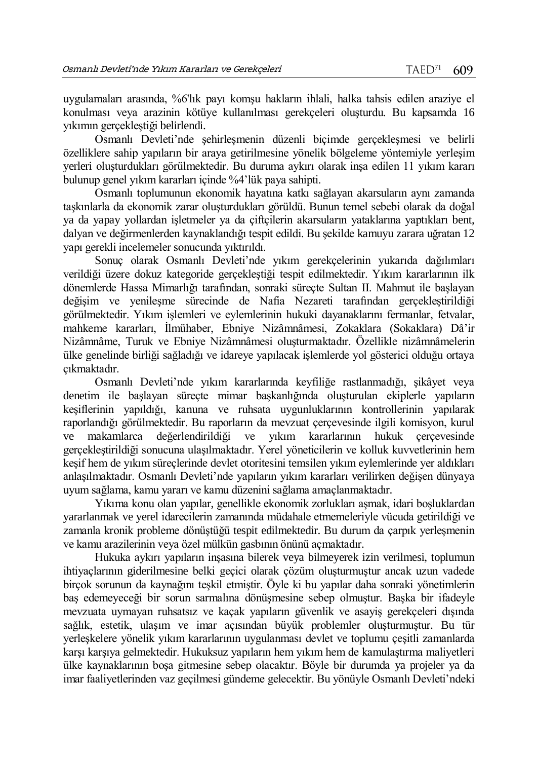uygulamaları arasında, %6'lık payı komşu hakların ihlali, halka tahsis edilen araziye el konulması veya arazinin kötüye kullanılması gerekçeleri oluşturdu. Bu kapsamda 16 yıkımın gerçekleştiği belirlendi.

Osmanlı Devleti'nde şehirleşmenin düzenli biçimde gerçekleşmesi ve belirli özelliklere sahip yapıların bir araya getirilmesine yönelik bölgeleme yöntemiyle yerleşim yerleri oluşturdukları görülmektedir. Bu duruma aykırı olarak inşa edilen 11 yıkım kararı bulunup genel yıkım kararları içinde %4'lük paya sahipti.

Osmanlı toplumunun ekonomik hayatına katkı sağlayan akarsuların aynı zamanda taşkınlarla da ekonomik zarar oluşturdukları görüldü. Bunun temel sebebi olarak da doğal ya da yapay yollardan işletmeler ya da çiftçilerin akarsuların yataklarına yaptıkları bent, dalyan ve değirmenlerden kaynaklandığı tespit edildi. Bu şekilde kamuyu zarara uğratan 12 yapı gerekli incelemeler sonucunda yıktırıldı.

Sonuç olarak Osmanlı Devleti'nde yıkım gerekçelerinin yukarıda dağılımları verildiği üzere dokuz kategoride gerçekleştiği tespit edilmektedir. Yıkım kararlarının ilk dönemlerde Hassa Mimarlığı tarafından, sonraki süreçte Sultan II. Mahmut ile başlayan değişim ve yenileşme sürecinde de Nafia Nezareti tarafından gerçekleştirildiği görülmektedir. Yıkım işlemleri ve eylemlerinin hukuki dayanaklarını fermanlar, fetvalar, mahkeme kararları, İlmühaber, Ebniye Nizâmnâmesi, Zokaklara (Sokaklara) Dâ'ir Nizâmnâme, Turuk ve Ebniye Nizâmnâmesi oluşturmaktadır. Özellikle nizâmnâmelerin ülke genelinde birliği sağladığı ve idareye yapılacak işlemlerde yol gösterici olduğu ortaya çıkmaktadır.

Osmanlı Devleti'nde yıkım kararlarında keyfiliğe rastlanmadığı, şikâyet veya denetim ile başlayan süreçte mimar başkanlığında oluşturulan ekiplerle yapıların keşiflerinin yapıldığı, kanuna ve ruhsata uygunluklarının kontrollerinin yapılarak raporlandığı görülmektedir. Bu raporların da mevzuat çerçevesinde ilgili komisyon, kurul ve makamlarca değerlendirildiği ve yıkım kararlarının hukuk çerçevesinde gerçekleştirildiği sonucuna ulaşılmaktadır. Yerel yöneticilerin ve kolluk kuvvetlerinin hem keşif hem de yıkım süreçlerinde devlet otoritesini temsilen yıkım eylemlerinde yer aldıkları anlaşılmaktadır. Osmanlı Devleti'nde yapıların yıkım kararları verilirken değişen dünyaya uyum sağlama, kamu yararı ve kamu düzenini sağlama amaçlanmaktadır.

Yıkıma konu olan yapılar, genellikle ekonomik zorlukları aşmak, idari boşluklardan yararlanmak ve yerel idarecilerin zamanında müdahale etmemeleriyle vücuda getirildiği ve zamanla kronik probleme dönüştüğü tespit edilmektedir. Bu durum da çarpık yerleşmenin ve kamu arazilerinin veya özel mülkün gasbının önünü açmaktadır.

Hukuka aykırı yapıların inşasına bilerek veya bilmeyerek izin verilmesi, toplumun ihtiyaçlarının giderilmesine belki geçici olarak çözüm oluşturmuştur ancak uzun vadede birçok sorunun da kaynağını teşkil etmiştir. Öyle ki bu yapılar daha sonraki yönetimlerin baş edemeyeceği bir sorun sarmalına dönüşmesine sebep olmuştur. Başka bir ifadeyle mevzuata uymayan ruhsatsız ve kaçak yapıların güvenlik ve asayiş gerekçeleri dışında sağlık, estetik, ulaşım ve imar açısından büyük problemler oluşturmuştur. Bu tür yerleşkelere yönelik yıkım kararlarının uygulanması devlet ve toplumu çeşitli zamanlarda karşı karşıya gelmektedir. Hukuksuz yapıların hem yıkım hem de kamulaştırma maliyetleri ülke kaynaklarının boşa gitmesine sebep olacaktır. Böyle bir durumda ya projeler ya da imar faaliyetlerinden vaz geçilmesi gündeme gelecektir. Bu yönüyle Osmanlı Devleti'ndeki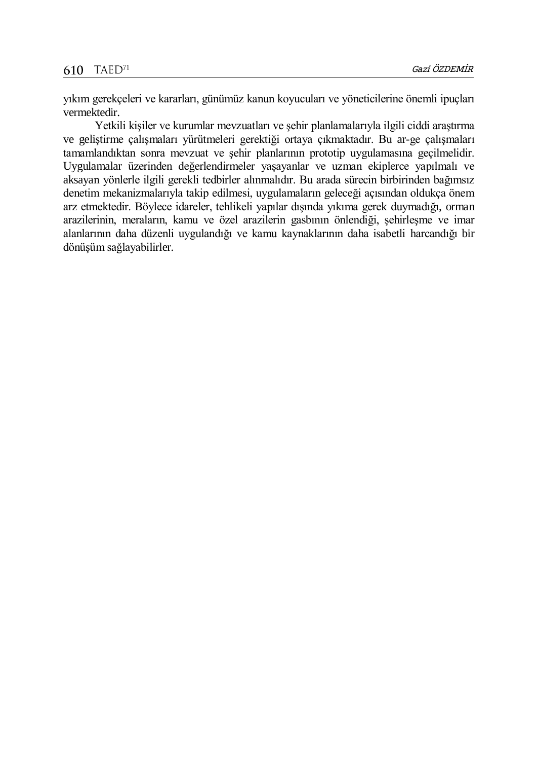yıkım gerekçeleri ve kararları, günümüz kanun koyucuları ve yöneticilerine önemli ipuçları vermektedir.

Yetkili kişiler ve kurumlar mevzuatları ve şehir planlamalarıyla ilgili ciddi araştırma ve geliştirme çalışmaları yürütmeleri gerektiği ortaya çıkmaktadır. Bu ar-ge çalışmaları tamamlandıktan sonra mevzuat ve şehir planlarının prototip uygulamasına geçilmelidir. Uygulamalar üzerinden değerlendirmeler yaşayanlar ve uzman ekiplerce yapılmalı ve aksayan yönlerle ilgili gerekli tedbirler alınmalıdır. Bu arada sürecin birbirinden bağımsız denetim mekanizmalarıyla takip edilmesi, uygulamaların geleceği açısından oldukça önem arz etmektedir. Böylece idareler, tehlikeli yapılar dışında yıkıma gerek duymadığı, orman arazilerinin, meraların, kamu ve özel arazilerin gasbının önlendiği, şehirleşme ve imar alanlarının daha düzenli uygulandığı ve kamu kaynaklarının daha isabetli harcandığı bir dönüşüm sağlayabilirler.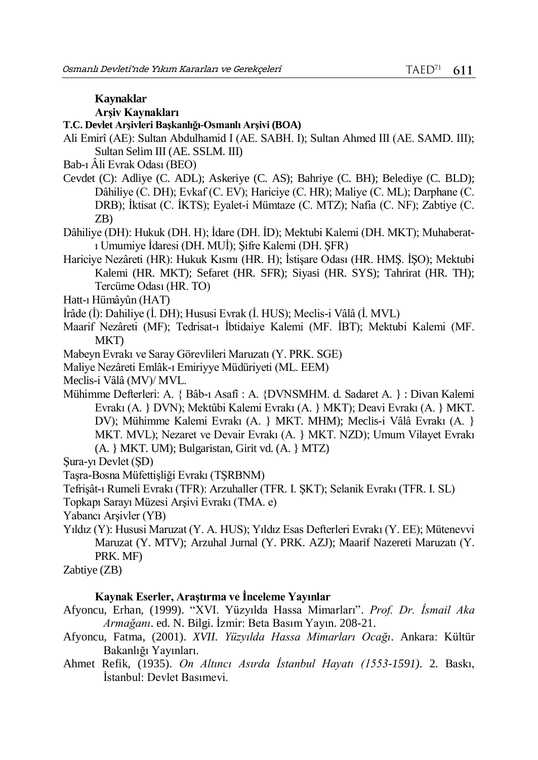#### **Kaynaklar**

## **Arşiv Kaynakları**

**T.C. Devlet Arşivleri Başkanlığı-Osmanlı Arşivi (BOA)**

- Ali Emirî (AE): Sultan Abdulhamid I (AE. SABH. I); Sultan Ahmed III (AE. SAMD. III); Sultan Selim III (AE. SSLM. III)
- Bab-ı Âli Evrak Odası (BEO)
- Cevdet (C): Adliye (C. ADL); Askeriye (C. AS); Bahriye (C. BH); Belediye (C. BLD); Dâhiliye (C. DH); Evkaf (C. EV); Hariciye (C. HR); Maliye (C. ML); Darphane (C. DRB); İktisat (C. İKTS); Eyalet-i Mümtaze (C. MTZ); Nafia (C. NF); Zabtiye (C. ZB)
- Dâhiliye (DH): Hukuk (DH. H); İdare (DH. İD); Mektubi Kalemi (DH. MKT); Muhaberatı Umumiye İdaresi (DH. MUİ); Şifre Kalemi (DH. ŞFR)
- Hariciye Nezâreti (HR): Hukuk Kısmı (HR. H); İstişare Odası (HR. HMŞ. İŞO); Mektubi Kalemi (HR. MKT); Sefaret (HR. SFR); Siyasi (HR. SYS); Tahrirat (HR. TH); Tercüme Odası (HR. TO)
- Hatt-ı Hümâyûn (HAT)
- İrâde (İ): Dahiliye (İ. DH); Hususi Evrak (İ. HUS); Meclis-i Vâlâ (İ. MVL)
- Maarif Nezâreti (MF); Tedrisat-ı İbtidaiye Kalemi (MF. İBT); Mektubi Kalemi (MF. MKT)
- Mabeyn Evrakı ve Saray Görevlileri Maruzatı (Y. PRK. SGE)
- Maliye Nezâreti Emlâk-ı Emiriyye Müdüriyeti (ML. EEM)
- Meclis-i Vâlâ (MV)/ MVL.
- Mühimme Defterleri: A. { Bâb-ı Asafî : A. {DVNSMHM. d. Sadaret A. } : Divan Kalemi Evrakı (A. } DVN); Mektûbi Kalemi Evrakı (A. } MKT); Deavi Evrakı (A. } MKT. DV); Mühimme Kalemi Evrakı (A. } MKT. MHM); Meclis-i Vâlâ Evrakı (A. } MKT. MVL); Nezaret ve Devair Evrakı (A. } MKT. NZD); Umum Vilayet Evrakı (A. } MKT. UM); Bulgaristan, Girit vd. (A. } MTZ)
- Şura-yı Devlet (ŞD)
- Taşra-Bosna Müfettişliği Evrakı (TŞRBNM)
- Tefrişât-ı Rumeli Evrakı (TFR): Arzuhaller (TFR. I. ŞKT); Selanik Evrakı (TFR. I. SL)
- Topkapı Sarayı Müzesi Arşivi Evrakı (TMA. e)
- Yabancı Arşivler (YB)
- Yıldız (Y): Hususi Maruzat (Y. A. HUS); Yıldız Esas Defterleri Evrakı (Y. EE); Mütenevvi Maruzat (Y. MTV); Arzuhal Jurnal (Y. PRK. AZJ); Maarif Nazereti Maruzatı (Y. PRK. MF)
- Zabtiye (ZB)

## **Kaynak Eserler, Araştırma ve İnceleme Yayınlar**

- Afyoncu, Erhan, (1999). "XVI. Yüzyılda Hassa Mimarları". *Prof. Dr. İsmail Aka Armağanı*. ed. N. Bilgi. İzmir: Beta Basım Yayın. 208-21.
- Afyoncu, Fatma, (2001). *XVII. Yüzyılda Hassa Mimarları Ocağı*. Ankara: Kültür Bakanlığı Yayınları.
- Ahmet Refik, (1935). *On Altıncı Asırda İstanbul Hayatı (1553-1591)*. 2. Baskı, İstanbul: Devlet Basımevi.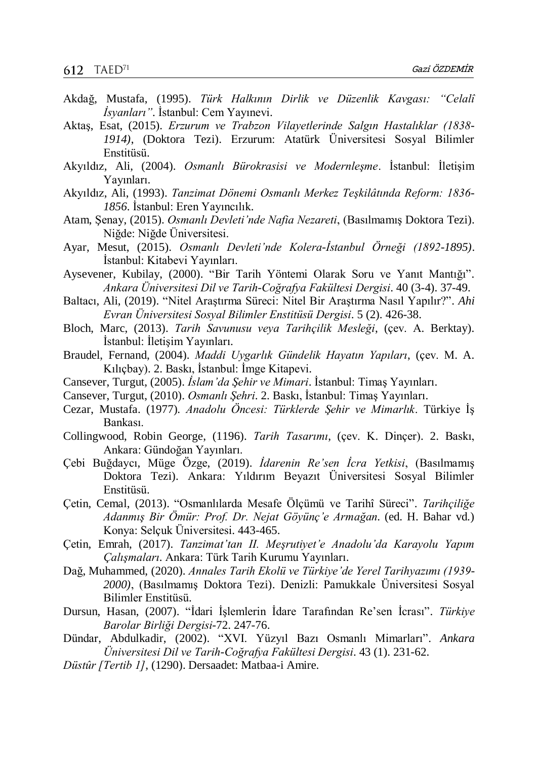- Akdağ, Mustafa, (1995). *Türk Halkının Dirlik ve Düzenlik Kavgası: "Celalî İsyanları"*. İstanbul: Cem Yayınevi.
- Aktaş, Esat, (2015). *Erzurum ve Trabzon Vilayetlerinde Salgın Hastalıklar (1838- 1914)*, (Doktora Tezi). Erzurum: Atatürk Üniversitesi Sosyal Bilimler Enstitüsü.
- Akyıldız, Ali, (2004). *Osmanlı Bürokrasisi ve Modernleşme*. İstanbul: İletişim Yayınları.
- Akyıldız, Ali, (1993). *Tanzimat Dönemi Osmanlı Merkez Teşkilâtında Reform: 1836- 1856*. İstanbul: Eren Yayıncılık.
- Atam, Şenay, (2015). *Osmanlı Devleti'nde Nafia Nezareti*, (Basılmamış Doktora Tezi). Niğde: Niğde Üniversitesi.
- Ayar, Mesut, (2015). *Osmanlı Devleti'nde Kolera-İstanbul Örneği (1892-1895)*. İstanbul: Kitabevi Yayınları.
- Aysevener, Kubilay, (2000). "Bir Tarih Yöntemi Olarak Soru ve Yanıt Mantığı". *Ankara Üniversitesi Dil ve Tarih-Coğrafya Fakültesi Dergisi*. 40 (3-4). 37-49.
- Baltacı, Ali, (2019). "Nitel Araştırma Süreci: Nitel Bir Araştırma Nasıl Yapılır?". *Ahi Evran Üniversitesi Sosyal Bilimler Enstitüsü Dergisi*. 5 (2). 426-38.
- Bloch, Marc, (2013). *Tarih Savunusu veya Tarihçilik Mesleği*, (çev. A. Berktay). İstanbul: İletişim Yayınları.
- Braudel, Fernand, (2004). *Maddi Uygarlık Gündelik Hayatın Yapıları*, (çev. M. A. Kılıçbay). 2. Baskı, İstanbul: İmge Kitapevi.
- Cansever, Turgut, (2005). *İslam'da Şehir ve Mimari*. İstanbul: Timaş Yayınları.
- Cansever, Turgut, (2010). *Osmanlı Şehri*. 2. Baskı, İstanbul: Timaş Yayınları.
- Cezar, Mustafa. (1977). *Anadolu Öncesi: Türklerde Şehir ve Mimarlık*. Türkiye İş Bankası.
- Collingwood, Robin George, (1196). *Tarih Tasarımı*, (çev. K. Dinçer). 2. Baskı, Ankara: Gündoğan Yayınları.
- Çebi Buğdaycı, Müge Özge, (2019). *İdarenin Re'sen İcra Yetkisi*, (Basılmamış Doktora Tezi). Ankara: Yıldırım Beyazıt Üniversitesi Sosyal Bilimler Enstitüsü.
- Çetin, Cemal, (2013). "Osmanlılarda Mesafe Ölçümü ve Tarihî Süreci". *Tarihçiliğe Adanmış Bir Ömür: Prof. Dr. Nejat Göyünç'e Armağan*. (ed. H. Bahar vd.) Konya: Selçuk Üniversitesi. 443-465.
- Çetin, Emrah, (2017). *Tanzimat'tan II. Meşrutiyet'e Anadolu'da Karayolu Yapım Çalışmaları*. Ankara: Türk Tarih Kurumu Yayınları.
- Dağ, Muhammed, (2020). *Annales Tarih Ekolü ve Türkiye'de Yerel Tarihyazımı (1939- 2000)*, (Basılmamış Doktora Tezi). Denizli: Pamukkale Üniversitesi Sosyal Bilimler Enstitüsü.
- Dursun, Hasan, (2007). "İdari İşlemlerin İdare Tarafından Re'sen İcrası". *Türkiye Barolar Birliği Dergisi*-72. 247-76.
- Dündar, Abdulkadir, (2002). "XVI. Yüzyıl Bazı Osmanlı Mimarları". *Ankara Üniversitesi Dil ve Tarih-Coğrafya Fakültesi Dergisi*. 43 (1). 231-62.
- *Düstûr [Tertib 1]*, (1290). Dersaadet: Matbaa-i Amire.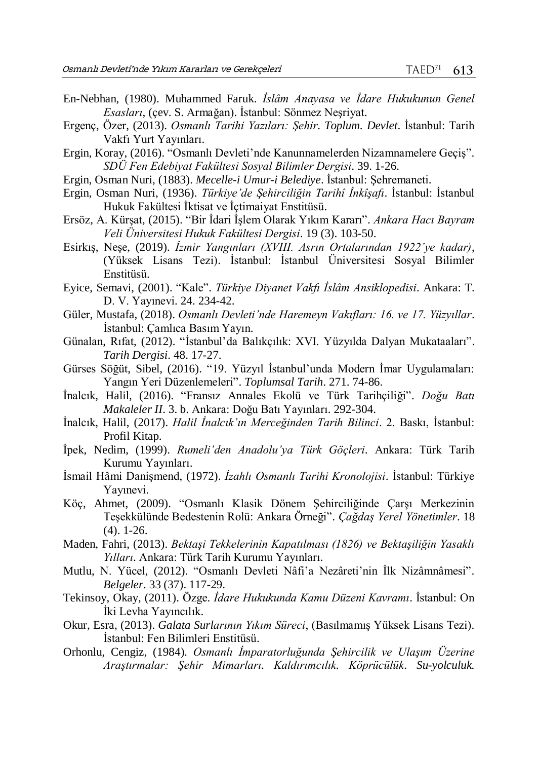- En-Nebhan, (1980). Muhammed Faruk. *İslâm Anayasa ve İdare Hukukunun Genel Esasları*, (çev. S. Armağan). İstanbul: Sönmez Neşriyat.
- Ergenç, Özer, (2013). *Osmanlı Tarihi Yazıları: Şehir. Toplum. Devlet*. İstanbul: Tarih Vakfı Yurt Yayınları.
- Ergı̇n, Koray, (2016). "Osmanlı Devleti'nde Kanunnamelerden Nizamnamelere Geçiş". *SDÜ Fen Edebiyat Fakültesi Sosyal Bilimler Dergisi*. 39. 1-26.
- Ergin, Osman Nuri, (1883). *Mecelle-i Umur-i Belediye*. İstanbul: Şehremaneti.
- Ergin, Osman Nuri, (1936). *Türkiye'de Şehirciliğin Tarihî İnkîşafı*. İstanbul: İstanbul Hukuk Fakültesi İktisat ve İçtimaiyat Enstitüsü.
- Ersöz, A. Kürşat, (2015). "Bir İdari İşlem Olarak Yıkım Kararı". *Ankara Hacı Bayram Veli Üniversitesi Hukuk Fakültesi Dergisi*. 19 (3). 103-50.
- Esirkış, Neşe, (2019). *İzmir Yangınları (XVIII. Asrın Ortalarından 1922'ye kadar)*, (Yüksek Lisans Tezi). İstanbul: İstanbul Üniversitesi Sosyal Bilimler Enstitüsü.
- Eyice, Semavi, (2001). "Kale". *Türkiye Diyanet Vakfı İslâm Ansiklopedisi*. Ankara: T. D. V. Yayınevi. 24. 234-42.
- Güler, Mustafa, (2018). *Osmanlı Devleti'nde Haremeyn Vakıfları: 16. ve 17. Yüzyıllar*. İstanbul: Çamlıca Basım Yayın.
- Günalan, Rıfat, (2012). "İstanbul'da Balıkçılık: XVI. Yüzyılda Dalyan Mukataaları". *Tarih Dergisi*. 48. 17-27.
- Gürses Söğüt, Sibel, (2016). "19. Yüzyıl İstanbul'unda Modern İmar Uygulamaları: Yangın Yeri Düzenlemeleri". *Toplumsal Tarih*. 271. 74-86.
- İnalcık, Halil, (2016). "Fransız Annales Ekolü ve Türk Tarihçiliği". *Doğu Batı Makaleler II*. 3. b. Ankara: Doğu Batı Yayınları. 292-304.
- İnalcık, Halil, (2017). *Halil İnalcık'ın Merceğinden Tarih Bilinci*. 2. Baskı, İstanbul: Profil Kitap.
- İpek, Nedim, (1999). *Rumeli'den Anadolu'ya Türk Göçleri*. Ankara: Türk Tarih Kurumu Yayınları.
- İsmail Hâmi Danişmend, (1972). *İzahlı Osmanlı Tarihi Kronolojisi*. İstanbul: Türkiye Yayınevi.
- Köç, Ahmet, (2009). "Osmanlı Klasik Dönem Şehirciliğinde Çarşı Merkezinin Teşekkülünde Bedestenin Rolü: Ankara Örneği". *Çağdaş Yerel Yönetimler*. 18 (4). 1-26.
- Maden, Fahri, (2013). *Bektaşi Tekkelerinin Kapatılması (1826) ve Bektaşiliğin Yasaklı Yılları*. Ankara: Türk Tarih Kurumu Yayınları.
- Mutlu, N. Yücel, (2012). "Osmanlı Devleti Nâfi'a Nezâreti'nin İlk Nizâmnâmesi". *Belgeler*. 33 (37). 117-29.
- Tekinsoy, Okay, (2011). Özge. *İdare Hukukunda Kamu Düzeni Kavramı*. İstanbul: On İki Levha Yayıncılık.
- Okur, Esra, (2013). *Galata Surlarının Yıkım Süreci*, (Basılmamış Yüksek Lisans Tezi). İstanbul: Fen Bilimleri Enstitüsü.
- Orhonlu, Cengiz, (1984). *Osmanlı İmparatorluğunda Şehircilik ve Ulaşım Üzerine Araştırmalar: Şehir Mimarları. Kaldırımcılık. Köprücülük. Su-yolculuk.*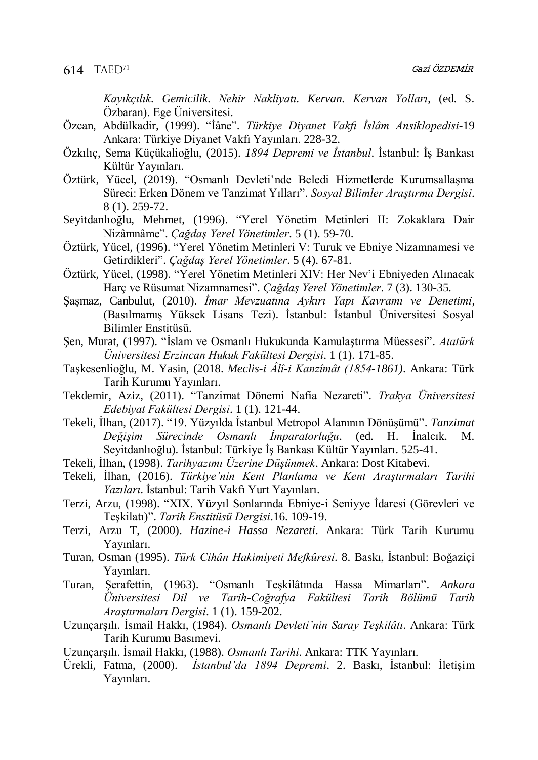*Kayıkçılık. Gemicilik. Nehir Nakliyatı. Kervan. Kervan Yolları*, (ed. S. Özbaran). Ege Üniversitesi.

- Özcan, Abdülkadir, (1999). "İâne". *Türkiye Diyanet Vakfı İslâm Ansiklopedisi*-19 Ankara: Türkiye Diyanet Vakfı Yayınları. 228-32.
- Özkılıç, Sema Küçükalioğlu, (2015). *1894 Depremi ve İstanbul*. İstanbul: İş Bankası Kültür Yayınları.
- Öztürk, Yücel, (2019). "Osmanlı Devleti'nde Beledi Hizmetlerde Kurumsallaşma Süreci: Erken Dönem ve Tanzimat Yılları". *Sosyal Bilimler Araştırma Dergisi*. 8 (1). 259-72.
- Seyı̇tdanlıoğlu, Mehmet, (1996). "Yerel Yönetim Metinleri II: Zokaklara Dair Nizâmnâme". *Çağdaş Yerel Yönetimler*. 5 (1). 59-70.
- Öztürk, Yücel, (1996). "Yerel Yönetim Metinleri V: Turuk ve Ebniye Nizamnamesi ve Getirdikleri". *Çağdaş Yerel Yönetimler*. 5 (4). 67-81.
- Öztürk, Yücel, (1998). "Yerel Yönetim Metinleri XIV: Her Nev'i Ebniyeden Alınacak Harç ve Rüsumat Nizamnamesi". *Çağdaş Yerel Yönetimler*. 7 (3). 130-35.
- Şaşmaz, Canbulut, (2010). *İmar Mevzuatına Aykırı Yapı Kavramı ve Denetimi*, (Basılmamış Yüksek Lisans Tezi). İstanbul: İstanbul Üniversitesi Sosyal Bilimler Enstitüsü.
- Şen, Murat, (1997). "İslam ve Osmanlı Hukukunda Kamulaştırma Müessesi". *Atatürk Üniversitesi Erzincan Hukuk Fakültesi Dergisi*. 1 (1). 171-85.
- Taşkesenlioğlu, M. Yasin, (2018. *Meclis-i Âlî-i Kanzîmât (1854-1861)*. Ankara: Türk Tarih Kurumu Yayınları.
- Tekdemı̇r, Aziz, (2011). "Tanzimat Dönemi Nafia Nezareti". *Trakya Üniversitesi Edebiyat Fakültesi Dergisi*. 1 (1). 121-44.
- Tekeli, İlhan, (2017). "19. Yüzyılda İstanbul Metropol Alanının Dönüşümü". *Tanzimat Değişim Sürecinde Osmanlı İmparatorluğu*. (ed. H. İnalcık. M. Seyitdanlıoğlu). İstanbul: Türkiye İş Bankası Kültür Yayınları. 525-41.
- Tekeli, İlhan, (1998). *Tarihyazımı Üzerine Düşünmek*. Ankara: Dost Kitabevi.
- Tekeli, İlhan, (2016). *Türkiye'nin Kent Planlama ve Kent Araştırmaları Tarihi Yazıları*. İstanbul: Tarih Vakfı Yurt Yayınları.
- Terzi, Arzu, (1998). "XIX. Yüzyıl Sonlarında Ebniye-i Seniyye İdaresi (Görevleri ve Teşkilatı)". *Tarih Enstitüsü Dergisi*.16. 109-19.
- Terzi, Arzu T, (2000). *Hazine-i Hassa Nezareti*. Ankara: Türk Tarih Kurumu Yayınları.
- Turan, Osman (1995). *Türk Cihân Hakimiyeti Mefkûresi*. 8. Baskı, İstanbul: Boğaziçi Yayınları.
- Turan, Şerafettin, (1963). "Osmanlı Teşkilâtında Hassa Mimarları". *Ankara Üniversitesi Dil ve Tarih-Coğrafya Fakültesi Tarih Bölümü Tarih Araştırmaları Dergisi*. 1 (1). 159-202.
- Uzunçarşılı. İsmail Hakkı, (1984). *Osmanlı Devleti'nin Saray Teşkilâtı*. Ankara: Türk Tarih Kurumu Basımevi.
- Uzunçarşılı. İsmail Hakkı, (1988). *Osmanlı Tarihi*. Ankara: TTK Yayınları.
- Ürekli, Fatma, (2000). *İstanbul'da 1894 Depremi*. 2. Baskı, İstanbul: İletişim Yayınları.